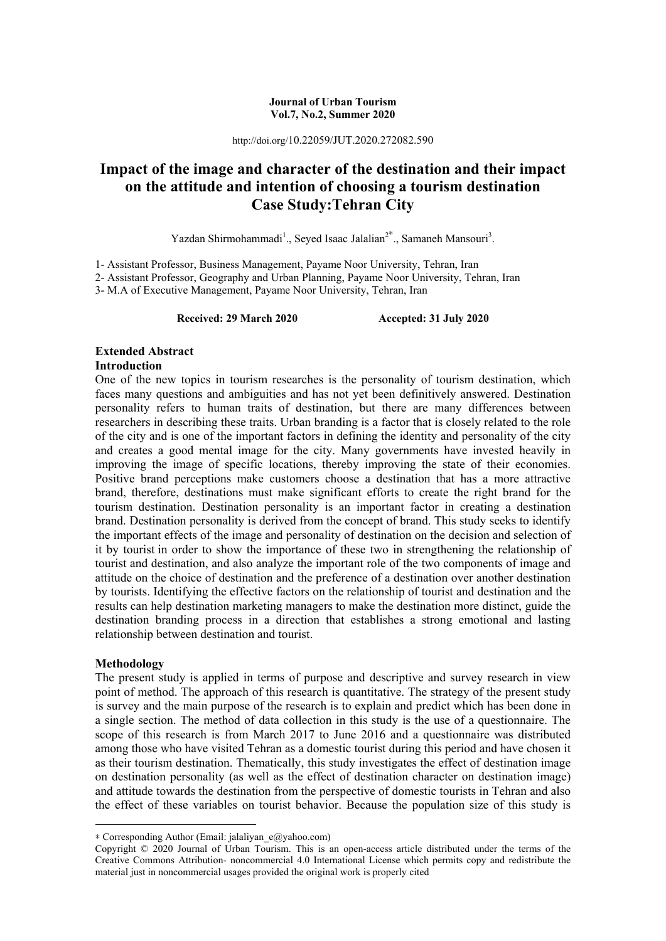#### **Journal of Urban Tourism Vol.7, No.2, Summer 2020**

http://doi.org/10.22059/JUT.2020.272082.590

# **Impact of the image and character of the destination and their impact on the attitude and intention of choosing a tourism destination Case Study:Tehran City**

Yazdan Shirmohammadi<sup>1</sup>., Seyed Isaac Jalalian<sup>2\*</sup>., Samaneh Mansouri<sup>3</sup>.

1- Assistant Professor, Business Management, Payame Noor University, Tehran, Iran

2- Assistant Professor, Geography and Urban Planning, Payame Noor University, Tehran, Iran

3- M.A of Executive Management, Payame Noor University, Tehran, Iran

**Received: 29 March 2020 Accepted: 31 July 2020** 

#### **Extended Abstract Introduction**

One of the new topics in tourism researches is the personality of tourism destination, which faces many questions and ambiguities and has not yet been definitively answered. Destination personality refers to human traits of destination, but there are many differences between researchers in describing these traits. Urban branding is a factor that is closely related to the role of the city and is one of the important factors in defining the identity and personality of the city and creates a good mental image for the city. Many governments have invested heavily in improving the image of specific locations, thereby improving the state of their economies. Positive brand perceptions make customers choose a destination that has a more attractive brand, therefore, destinations must make significant efforts to create the right brand for the tourism destination. Destination personality is an important factor in creating a destination brand. Destination personality is derived from the concept of brand. This study seeks to identify the important effects of the image and personality of destination on the decision and selection of it by tourist in order to show the importance of these two in strengthening the relationship of tourist and destination, and also analyze the important role of the two components of image and attitude on the choice of destination and the preference of a destination over another destination by tourists. Identifying the effective factors on the relationship of tourist and destination and the results can help destination marketing managers to make the destination more distinct, guide the destination branding process in a direction that establishes a strong emotional and lasting relationship between destination and tourist.

#### **Methodology**

**.** 

The present study is applied in terms of purpose and descriptive and survey research in view point of method. The approach of this research is quantitative. The strategy of the present study is survey and the main purpose of the research is to explain and predict which has been done in a single section. The method of data collection in this study is the use of a questionnaire. The scope of this research is from March 2017 to June 2016 and a questionnaire was distributed among those who have visited Tehran as a domestic tourist during this period and have chosen it as their tourism destination. Thematically, this study investigates the effect of destination image on destination personality (as well as the effect of destination character on destination image) and attitude towards the destination from the perspective of domestic tourists in Tehran and also the effect of these variables on tourist behavior. Because the population size of this study is

<sup>∗</sup> Corresponding Author (Email: jalaliyan\_e@yahoo.com)

Copyright © 2020 Journal of Urban Tourism. This is an open-access article distributed under the terms of the Creative Commons Attribution- noncommercial 4.0 International License which permits copy and redistribute the material just in noncommercial usages provided the original work is properly cited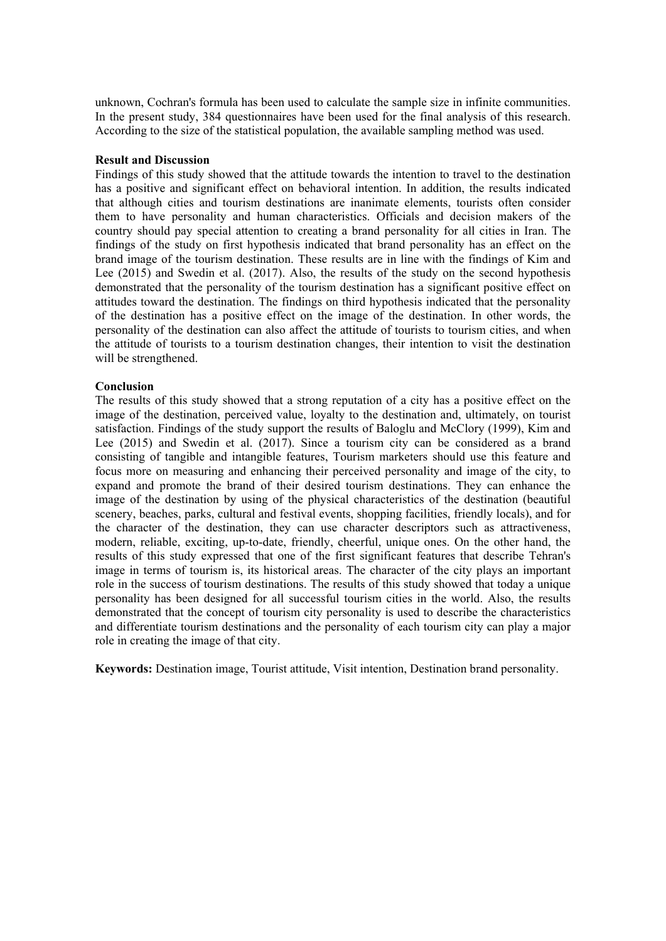unknown, Cochran's formula has been used to calculate the sample size in infinite communities. In the present study, 384 questionnaires have been used for the final analysis of this research. According to the size of the statistical population, the available sampling method was used.

#### **Result and Discussion**

Findings of this study showed that the attitude towards the intention to travel to the destination has a positive and significant effect on behavioral intention. In addition, the results indicated that although cities and tourism destinations are inanimate elements, tourists often consider them to have personality and human characteristics. Officials and decision makers of the country should pay special attention to creating a brand personality for all cities in Iran. The findings of the study on first hypothesis indicated that brand personality has an effect on the brand image of the tourism destination. These results are in line with the findings of Kim and Lee (2015) and Swedin et al. (2017). Also, the results of the study on the second hypothesis demonstrated that the personality of the tourism destination has a significant positive effect on attitudes toward the destination. The findings on third hypothesis indicated that the personality of the destination has a positive effect on the image of the destination. In other words, the personality of the destination can also affect the attitude of tourists to tourism cities, and when the attitude of tourists to a tourism destination changes, their intention to visit the destination will be strengthened.

#### **Conclusion**

The results of this study showed that a strong reputation of a city has a positive effect on the image of the destination, perceived value, loyalty to the destination and, ultimately, on tourist satisfaction. Findings of the study support the results of Baloglu and McClory (1999), Kim and Lee (2015) and Swedin et al. (2017). Since a tourism city can be considered as a brand consisting of tangible and intangible features, Tourism marketers should use this feature and focus more on measuring and enhancing their perceived personality and image of the city, to expand and promote the brand of their desired tourism destinations. They can enhance the image of the destination by using of the physical characteristics of the destination (beautiful scenery, beaches, parks, cultural and festival events, shopping facilities, friendly locals), and for the character of the destination, they can use character descriptors such as attractiveness, modern, reliable, exciting, up-to-date, friendly, cheerful, unique ones. On the other hand, the results of this study expressed that one of the first significant features that describe Tehran's image in terms of tourism is, its historical areas. The character of the city plays an important role in the success of tourism destinations. The results of this study showed that today a unique personality has been designed for all successful tourism cities in the world. Also, the results demonstrated that the concept of tourism city personality is used to describe the characteristics and differentiate tourism destinations and the personality of each tourism city can play a major role in creating the image of that city.

**Keywords:** Destination image, Tourist attitude, Visit intention, Destination brand personality.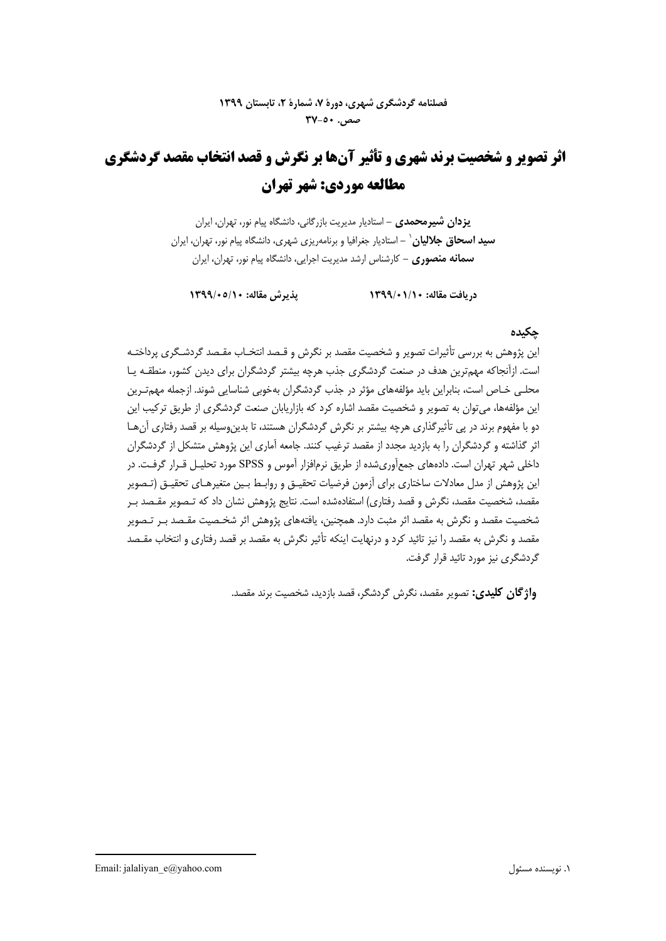# **اثر تصوير و شخصيت برند شهري و تأثير آنها بر نگرش و قصد انتخاب مقصد گردشگري مطالعه موردي: شهر تهران**

**يزدان شيرمحمدي -** استاديار مديريت بازرگاني، دانشگاه پيام نور، تهران، ايران **-** استاديار جغرافيا و برنامهريزي شهري، دانشگاه پيام نور، تهران، ايران <sup>1</sup> **سيد اسحاق جلاليان سمانه منصوري -** كارشناس ارشد مديريت اجرايي، دانشگاه پيام نور، تهران، ايران

**دريافت مقاله: 1399/01/10 پذيرش مقاله: 1399/05/10** 

## **چكيده**

اين پژوهش به بررسي تأثيرات تصوير و شخصيت مقصد بر نگرش و قـصد انتخـاب مقـصد گردشـگري پرداختـه است. ازآنجاكه مهمترين هدف در صنعت گردشگري جذب هرچه بيشتر گردشگران براي ديدن كشور، منطقـه يـا محلـي خـاص است، بنابراين بايد مؤلفههاي مؤثر در جذب گردشگران بهخوبي شناسايي شوند. ازجمله مهمتـرين اين مؤلفهها، ميتوان به تصوير و شخصيت مقصد اشاره كرد كه بازاريابان صنعت گردشگري از طريق تركيب اين دو با مفهوم برند در پي تأثيرگذاري هرچه بيشتر بر نگرش گردشگران هستند، تا بدينوسيله بر قصد رفتاري آنهـا اثر گذاشته و گردشگران را به بازديد مجدد از مقصد ترغيب كنند. جامعه آماري اين پژوهش متشكل از گردشگران داخلي شهر تهران است. دادههاي جمعآوريشده از طريق نرمافزار آموس و SPSS مورد تحليـل قـرار گرفـت. در اين پژوهش از مدل معادلات ساختاري براي آزمون فرضيات تحقيـق و روابـط بـين متغير هـاي تحقيـق (تـصوير مقصد، شخصيت مقصد، نگرش و قصد رفتاري) استفادهشده است. نتايج پژوهش نشان داد كه تـصوير مقـصد بـر شخصيت مقصد و نگرش به مقصد اثر مثبت دارد. همچنين، يافتههاي پژوهش اثر شخـصيت مقـصد بـر تـصوير مقصد و نگرش به مقصد را نيز تائيد كرد و درنهايت اينكه تأثير نگرش به مقصد بر قصد رفتاري و انتخاب مقـص د گردشگري نيز مورد تائيد قرار گرفت.

**واژگان كليدي:** تصوير مقصد، نگرش گردشگر، قصد بازديد، شخصيت برند مقصد.

1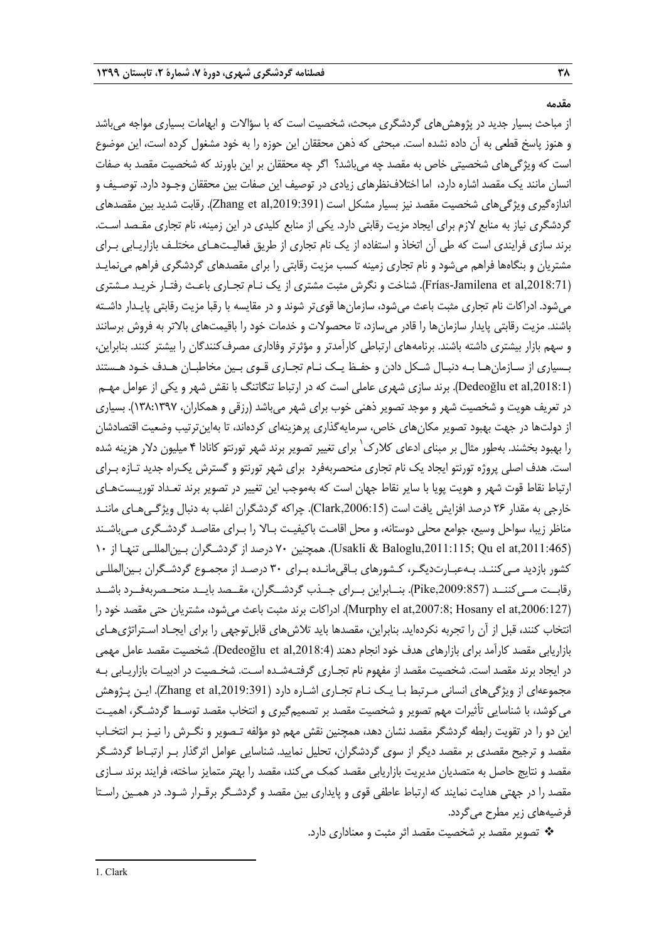**مقدمه**

از مباحث بسيار جديد در پژوهشهاي گردشگري مبحث، شخصيت است كه با سؤالات و ابهامات بسياري مواجه ميباشد و هنوز پاسخ قطعي به آن داده نشده است. مبحثي كه ذهن محققان اين حوزه را به خود مشغول كرده است، اين موضوع است كه ويژگيهاي شخصيتي خاص به مقصد چه ميباشد؟ اگر چه محققان بر اين باورند كه شخصيت مقصد به صفات انسان مانند يك مقصد اشاره دارد، اما اختلافنظرهاي زيادي در توصيف اين صفات بين محققان وجـود دارد. توصـيف و اندازهگيري ويژگيهاي شخصيت مقصد نيز بسيار مشكل است (Zhang et al,2019:391). رقابت شديد بين مقصدهاي گردشگري نياز به منابع لازم براي ايجاد مزيت رقابتي دارد . يكي از منابع كليدي در اين زمينه، نام تجاري مقـصد اسـت . برند سازي فرايندي است كه طي آن اتخاذ و استفاده از يك نام تجاري از طريق فعاليـت هـاي مختلـف بازاريـابي بـراي مشتريان و بنگاهها فراهم ميشود و نام تجاري زمينه كسب مزيت رقابتي را براي مقصدهاي گردشگري فراهم مي نمايـد (,2018:71al et Jamilena-Frías(. شناخت و نگرش مثبت مشتري از يك نـام تجـاري باعـث رفتـار خريـد مـشتري ميشود. ادراكات نام تجاري مثبت باعث ميشود، سازمانها قويتر شوند و در مقايسه با رقبا مزيت رقابتي پايـدار داشـته باشند. مزيت رقابتي پايدار سازمانها را قادر ميسازد، تا محصولات و خدمات خود را باقيمتهاي بالاتر به فروش برسانند و سهم بازار بيشتري داشته باشند. برنامههاي ارتباطي كارآمدتر و مؤثرتر وفاداري مصرفكنندگان را بيشتر كنند. بنابراين، بـسياري از سـازمانهـا بـه دنبـال شـكل دادن و حفـظ يـك نـام تجـاري قـوي بـين مخاطبـان هـدف خـود هـستند (Dedeoğlu et al,2018:1). برند سازي شهري عاملي است كه در ارتباط تنگاتنگ با نقش شهر و يكي از عوامل مهـم در تعريف هويت و شخصيت شهر و موجد تصوير ذهني خوب براي شهر ميباشد (رزقي و همكاران، 138:1397). بسياري از دولتها در جهت بهبود تصوير مكانهاي خاص، سرمايهگذاري پرهزينهاي كردهاند، تا بهاينترتيب وضعيت اقتصادشان را يهبود بخشند. بهطور مثال بر مبناي ادعاي كلارك<sup>\</sup> براي تغيير تصوير برند شهر تورنتو كانادا ۴ ميليون دلار هزينه شده است. هدف اصلي پروژه تورنتو ايجاد يك نام تجاري منحصربهفرد براي شهر تورنتو و گسترش يكراه جديد تـازه بـراي ارتباط نقاط قوت شهر و هويت پويا با ساير نقاط جهان است كه بهموجب اين تغيير در تصوير برند تعـداد توريـستهـاي خارجي به مقدار 26 درصد افزايش يافت است (,2006:15Clark(. چراكه گردشگران اغلب به دنبال ويژگـيهـاي ماننـد مناظر زيبا، سواحل وسيع، جوامع محلي دوستانه، و محل اقامـت باكيفيـت بـالا را بـراي مقاصـد گردشـگري مـيباشـند (Usakli & Baloglu,2011:115; Qu el at,2011:465). همچنين ٧٠ درصد از گردشـگران بـين|لمللـي تنهـا از ١٠ كشور بازديد مـي كننـد. بـهعبـارت<code>ديگـر، كـشورهاي بـاقي مانـده بـراي ٣٠ درصـد از مجمـوع گردشـگران بـين|لمللـي</mark></code> رقابــت مــيكننــد (,2009:857Pike(. بنــابراين بــراي جــذب گردشــگران، مقــصد بايــد منحــصربهفــرد باشــد (Murphy el at,2007:8; Hosany el at,2006:127). ادراكات برند مثبت باعث مي شود، مشتريان حتى مقصد خود را انتخاب كنند، قبل از آن را تجربه نكردهايد. بنابراين، مقصدها بايد تلاشهاي قابلتوجهي را براي ايجـاد اسـتراتژيهـاي بازاريابي مقصد كارآمد براي بازارهاي هدف خود انجام دهند (,2018:4al et Dedeoğlu(. شخصيت مقصد عامل مهمي در ايجاد برند مقصد است. شخصيت مقصد از مفهوم نام تجـاري گرفتـهشـده اسـت. شخـصيت در ادبيـات بازاريـابي بـه مجموعهاي از ويژگي هاي انساني مـرتبط بـا يـك نـام تجـاري اشـاره دارد (Zhang et al,2019:391). ايـن پـژوهش ميكوشد، با شناسايي تأثيرات مهم تصوير و شخصيت مقصد بر تصميمگيري و انتخاب مقصد توسـط گردشـگر، اهميـت اين دو را در تقويت رابطه گردشگر مقصد نشان دهد، همچنين نقش مهم دو مؤلفه تـصوير و نگـرش را نيـز بـر انتخـاب مقصد و ترجيح مقصدي بر مقصد ديگر از سوي گردشگران، تحليل نماييد. شناسايي عوامل اثرگذار بـر ارتبـاط گردشـگر مقصد و نتايج حاصل به متصديان مديريت بازاريابي مقصد كمك ميكند، مقصد را بهتر متمايز ساخته، فرايند برند سـازي مقصد را در جهتي هدايت نمايند كه ارتباط عاطفي قوي و پايداري بين مقصد و گردشـگر برقـرار شـود . در همـين راسـتا فرضيههاي زير مطرح ميگردد.

تصوير مقصد بر شخصيت مقصد اثر مثبت و معناداري دارد.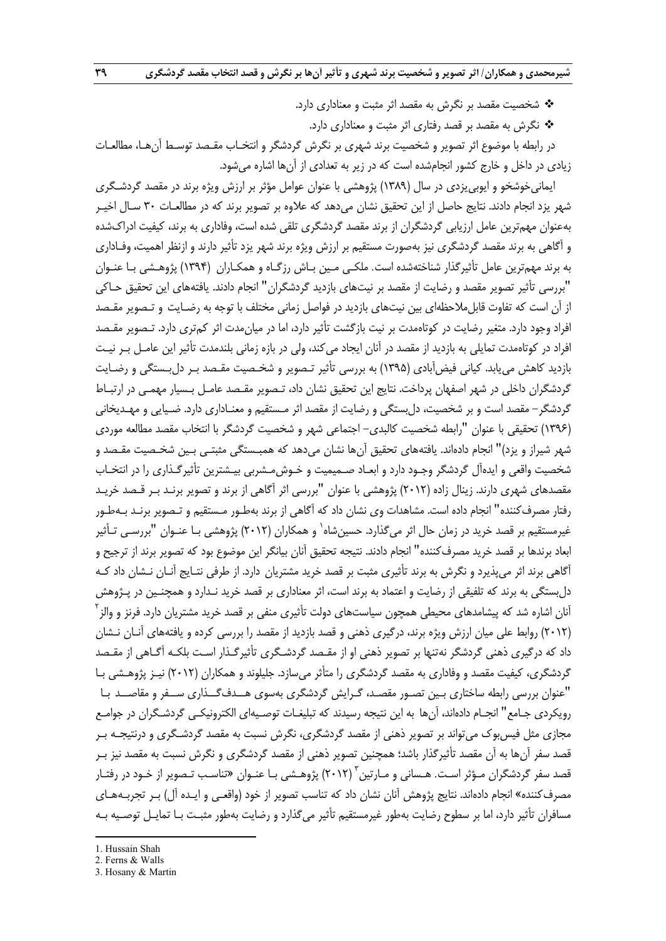شخصيت مقصد بر نگرش به مقصد اثر مثبت و معناداري دارد.

نگرش به مقصد بر قصد رفتاري اثر مثبت و معناداري دارد.

در رابطه با موضوع اثر تصوير و شخصيت برند شهري بر نگرش گردشگر و انتخـاب مقـصد توسـط آنهـا، مطالعـات زيادي در داخل و خارج كشور انجامشده است كه در زير به تعدادي از آنها اشاره ميشود.

ايمانيخوشخو و ايوبييزدي در سال (1389) پژوهشي با عنوان عوامل مؤثر بر ارزش ويژه برند در مقصد گردشـگري شهر يزد انجام دادند. نتايج حاصل از اين تحقيق نشان ميدهد كه علاوه بر تصوير برند كه در مطالعـات 30 سـال اخيـر بهعنوان مهمترين عامل ارزيابي گردشگران از برند مقصد گردشگري تلقي شده است، وفاداري به برند، كيفيت ادراكشده و آگاهي به برند مقصد گردشگري نيز بهصورت مستقيم بر ارزش ويژه برند شهر يزد تأثير دارند و ازنظر اهميت، وفـاداري به برند مهمترين عامل تأثيرگذار شناختهشده است. ملكـي مـين بـاش رزگـاه و همكـاران (1394) پژوهـشي بـا عنـوان "بررسي تأثير تصوير مقصد و رضايت از مقصد بر نيتهاي بازديد گردشگران" انجام دادند. يافتههاي اين تحقيق حـاكي از آن است كه تفاوت قابلملاحظهاي بين نيتهاي بازديد در فواصل زماني مختلف با توجه به رضـايت و تـصوير مقـصد افراد وجود دارد. متغير رضايت در كوتاهمدت بر نيت بازگشت تأثير دارد، اما در ميانمدت اثر كمتري دارد. تـصوير مقـصد افراد در كوتاهمدت تمايلي به بازديد از مقصد در آنان ايجاد ميكند، ولي در بازه زماني بلندمدت تأثير اين عامـل بـر نيـت بازديد كاهش مييابد. كياني فيضآبادي (1395) به بررسي تأثير تـصوير و شخـصيت مقـصد بـر دل بـستگي و رضـايت گردشگران داخلي در شهر اصفهان پرداخت. نتايج اين تحقيق نشان داد، تـصوير مقـصد عامـل بـسيار مهمـي در ارتبـاط گردشگر- مقصد است و بر شخصيت، دلبستگي و رضايت از مقصد اثر مـستقيم و معنـاداري دارد. ضـيايي و مهـديخاني (1396) تحقيقي با عنوان "رابطه شخصيت كالبدي- اجتماعي شهر و شخصيت گردشگر با انتخاب مقصد مطالعه موردي شهر شيراز و يزد)" انجام دادهاند. يافتههاي تحقيق آنها نشان ميدهد كه همبـستگي مثبتـي بـين شخـصيت مقـصد و شخصيت واقعي و ايدهآل گردشگر وجـود دارد و ابعـاد صـميميت و خـوش مـشربي بيـشترين تأثيرگـذاري را در انتخـاب مقصدهاي شهري دارند. زينال زاده (2012) پژوهشي با عنوان "بررسي اثر آگاهي از برند و تصوير برنـد بـر قـصد خريـد رفتار مصرفكننده" انجام داده است. مشاهدات وي نشان داد كه آگاهي از برند بهطـور مـستقيم و تـصوير برنـد بـهطـور غيرمستقيم بر قصد خريد در زمان حال اثر مي گذارد. حسين شاه ٰ و همكاران (٢٠١٢) پژوهشي بـا عنـوان "بررسـي تـأثير ابعاد برندها بر قصد خريد مصرفكننده" انجام دادند. نتيجه تحقيق آنان بيانگر اين موضوع بود كه تصوير برند از ترجيح و آگاهي برند اثر ميپذيرد و نگرش به برند تأثيري مثبت بر قصد خريد مشتريان دارد. از طرفي نتـايج آنـان نـشان داد كـه دا ,ستگي به برند كه تلفيقي از رضايت و اعتماد به برند است، اثر معناداري بر قصد خريد نـدارد و همچنـين در پـژوهش <sup>آ</sup>نان اشاره شد كه پيشامدهاي محيطي همچون سياستهاي دولت تأثيري منفي بر قصد خريد مشتريان دارد. فرنز و والز<sup>۲</sup> (2012) روابط علي ميان ارزش ويژه برند، درگيري ذهني و قصد بازديد از مقصد را بررسي كرده و يافتههاي آنـان نـشان داد كه درگيري ذهني گردشگر نهتنها بر تصوير ذهني او از مقـصد گردشـگري تأثيرگـذار اسـت بلكـه آگـاهي از مقـصد گردشگري، كيفيت مقصد و وفاداري به مقصد گردشگري را متأثر مي سازد. جليلوند و همكاران (2012) نيـز پژوهـشي بـا "عنوان بررسي رابطه ساختاري بـين تصـور مقصـد، گـرايش گردشگري بهسوي هــدفگــذاري ســفر و مقاصــد بـا رويكردي جـامع" انجـام دادهاند، آنها به اين نتيجه رسيدند كه تبليغـات توصـيهاي الكترونيكـي گردشـگران در جوامـع مجازي مثل فيسبوك ميتواند بر تصوير ذهني از مقصد گردشگري، نگرش نسبت به مقصد گردشـگري و درنتيجـه بـر قصد سفر آنها به آن مقصد تأثيرگذار باشد؛ همچنين تصوير ذهني از مقصد گردشگري و نگرش نسبت به مقصد نيز بـر قصد سفر گردشگران مـؤثر اسـت. هـساني و مـارتين <sup>۱</sup> (۲۰۱۲) پژوهـشي بـا عنـوان «تناسـب تـصوير از خـود در رفتـار مصرفكننده» انجام دادهاند. نتايج پژوهش آنان نشان داد كه تناسب تصوير از خود (واقعـي و ايـده آل) بـر تجربـههـاي مسافران تأثير دارد، اما بر سطوح رضايت بهطور غيرمستقيم تأثير ميگذارد و رضايت بهطور مثبـت بـا تمايـل توصـيه بـه

 $\overline{a}$ 

2. Ferns & Walls

<sup>1.</sup> Hussain Shah

<sup>3.</sup> Hosany & Martin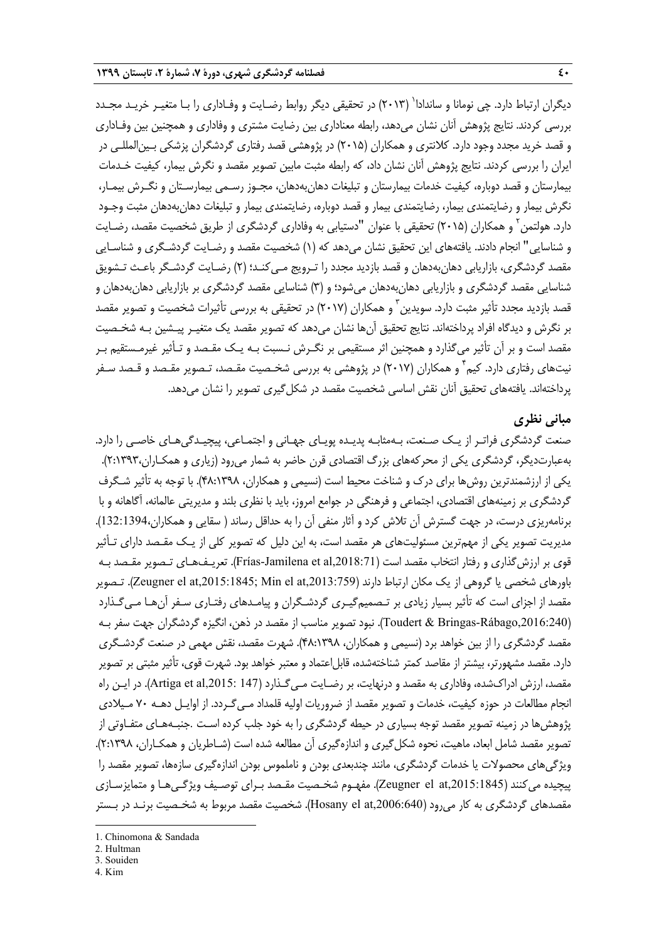ديگران ارتباط دارد. چي نومانا و ساندادا<sup>(</sup> (۲۰۱۳) در تحقيقي ديگر روابط رضـايت و وفـاداري را بـا متغيـر خريـد مجـدد بررسي كردند. نتايج پژوهش آنان نشان ميدهد، رابطه معناداري بين رضايت مشتري و وفاداري و همچنين بين وفـاداري و قصد خريد مجدد وجود دارد. كلانتري و همكاران (2015) در پژوهشي قصد رفتاري گردشگران پزشكي بـينالمللـي در ايران را بررسي كردند. نتايج پژوهش آنان نشان داد، كه رابطه مثبت مابين تصوير مقصد و نگرش بيمار، كيفيت خـدمات بيمارستان و قصد دوباره، كيفيت خدمات بيمارستان و تبليغات دهانبهدهان، مجـوز رسـمي بيمارسـتان و نگـرش بيمـار، نگرش بيمار و رضايتمندي بيمار، رضايتمندي بيمار و قصد دوباره، رضايتمندي بيمار و تبليغات دهانبهدهان مثبت وجـود دارد. هولتمن<sup>۲</sup> و همکاران (۲۰۱۵) تحقيقى با عنوان "دستيابى به وفادارى گردشگرى از طريق شخصيت مقصد، رضـايت و شناسايي" انجام دادند. يافتههاي اين تحقيق نشان ميدهد كه (1) شخصيت مقصد و رضـايت گردشـگري و شناسـايي مقصد گردشگري، بازاريابي دهانبهدهان و قصد بازديد مجدد را تـرويج مـيكنـد؛ (2) رضـايت گردشـگر باعـث تـشويق شناسايي مقصد گردشگري و بازاريابي دهانبهدهان ميشود؛ و (3) شناسايي مقصد گردشگري بر بازاريابي دهانبهدهان و قصد بازديد مجدد تأثير مثبت دارد. سويدين ّ و همكاران (٢٠١٧) در تحقيقي به بررسي تأثيرات شخصيت و تصوير مقصد بر نگرش و ديدگاه افراد پرداختهاند. نتايج تحقيق آنها نشان ميدهد كه تصوير مقصد يك متغيـر پيـشين بـه شخـصيت مقصد است و بر آن تأثير ميگذارد و همچنين اثر مستقيمي بر نگـرش نـسبت بـه يـك مقـصد و تـأثير غيرمـستقيم بـر نيتهاى رفتارى دارد. كيم ٔ و همكاران (٢٠١٧) در پژوهشي به بررسي شخـصيت مقـصد، تـصوير مقـصد و قـصد سـفر پرداختهاند. يافتههاي تحقيق آنان نقش اساسي شخصيت مقصد در شكل گيري تصوير را نشان مي دهد.

# **مباني نظري**

صنعت گردشگري فراتـر از يـك صـنعت، بـه مثابـه پديـده پويـاي جهـاني و اجتمـاعي، پيچيـدگيهـاي خاصـي را دارد. بهعبارتديگر، گردشگري يكي از محركههاي بزرگ اقتصادي قرن حاضر به شمار ميرود (زياري و همكـاران2:1393،). يكي از ارزشمندترين روشها براي درك و شناخت محيط است (نسيمي و همكاران، 48:1398). با توجه به تأثير شـگرف گردشگري بر زمينههاي اقتصادي، اجتماعي و فرهنگي در جوامع امروز، بايد با نظري بلند و مديريتي عالمانه، آگاهانه و با برنامهريزي درست، در جهت گسترش آن تلاش كرد و آثار منفي آن را به حداقل رساند ( سقايي و همكاران132:1394،). مديريت تصوير يكي از مهمترين مسئوليتهاي هر مقصد است، به اين دليل كه تصوير كلي از يـك مقـصد داراي تـأثير قوي بر ارزش گذاري و رفتار انتخاب مقصد است (Frías-Jamilena et al,2018:71). تعريـفـهـاي تـصوير مقـصد بـه باورهاي شخصي يا گروهي از يک مکان ارتباط دارند (Zeugner el at,2015:1845; Min el at,2013:759). تـصوير مقصد از اجزاي است كه تأثير بسيار زيادي بر تـصميمگيـري گردشـگران و پيامـدهاي رفتـاري سـفر آنهـا مـيگـذارد (Toudert & Bringas-Rábago,2016:240). نبود تصوير مناسب از مقصد در ذهن، انگيزه گردشگران جهت سفر بـه مقصد گردشگري را از بين خواهد برد (نسيمي و همكاران، 48:1398). شهرت مقصد، نقش مهمي در صنعت گردشـگري دارد. مقصد مشهورتر، بيشتر از مقاصد كمتر شناختهشده، قابل|عتماد و معتبر خواهد بود. شهرت قوي، تأثير مثبتي بر تصوير مقصد، ارزش ادراكشده، وفاداري به مقصد و درنهايت، بر رضـايت مـيگـذارد (147 .Artiga et al,2015: 147). در ايـن راه انجام مطالعات در حوزه كيفيت، خدمات و تصوير مقصد از ضروريات اوليه قلمداد مـيگـردد. از اوايـل دهـه 70 مـيلادي پژوهشها در زمينه تصوير مقصد توجه بسياري در حيطه گردشگري را به خود جلب كرده اسـت .جنبـههـاي متفـاوتي از تصوير مقصد شامل ابعاد، ماهيت، نحوه شكلگيري و اندازهگيري آن مطالعه شده است (شـاطريان و همكـاران، 2:1398). ويژگيهاي محصولات يا خدمات گردشگري، مانند چندبعدي بودن و ناملموس بودن اندازهگيري سازهها، تصوير مقصد را پيچيده ميكنند (,2015:1845at el Zeugner(. مفهـوم شخـصيت مقـصد بـراي توصـيف ويژگـيهـا و متمايزسـازي مقصدهاي گردشگري به كار مي رود (Hosany el at,2006:640). شخصيت مقصد مربوط به شخـصيت برنـد در بـستر

- 3. Souiden
- 4. Kim

**.** 

<sup>1.</sup> Chinomona & Sandada

<sup>2.</sup> Hultman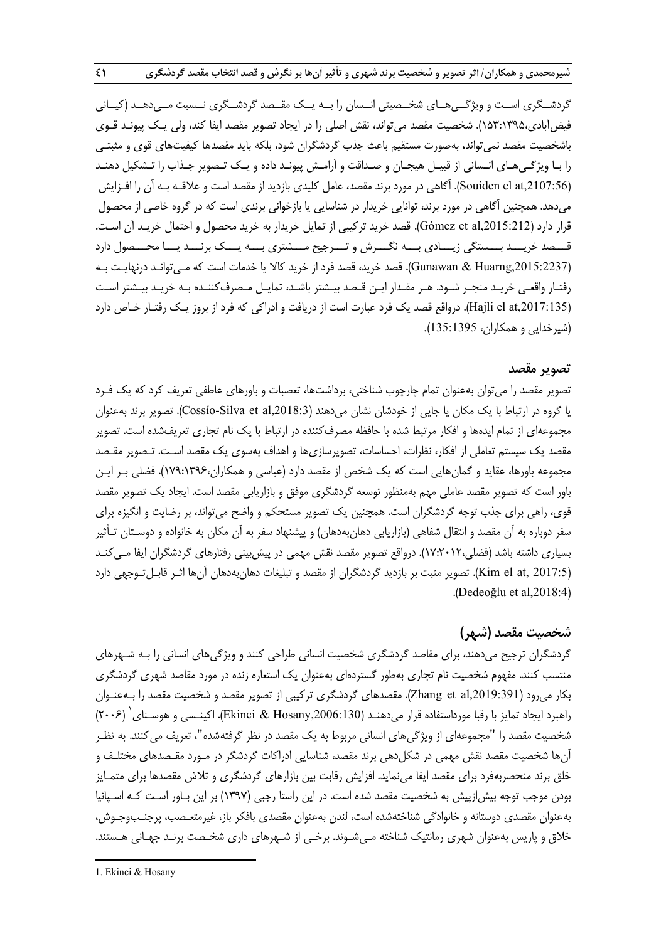گردشــگري اســت و ويژگــي هــاي شخــصيتي انــسان را بــه يــک مقــصد گردشــگري نــسبت مــي دهــد (کيــاني فيضآبادي153:1395،). شخصيت مقصد ميتواند، نقش اصلي را در ايجاد تصوير مقصد ايفا كند، ولي يـك پيونـد قـوي باشخصيت مقصد نمي تواند، بهصورت مستقيم باعث جذب گردشگران شود، بلكه بايد مقصدها كيفيتهاي قوي و مثبتـي را بـا ويژگـيهـاي انـساني از قبيـل هيجـان و صـداقت و آرامـش پيونـد داده و يـك تـصوير جـذاب را تـشكيل دهنـد (Souiden el at,2107:56). آگاهي در مورد برند مقصد، عامل كليدي بازديد از مقصد است و علاقـه بـه آن را افـزايش ميدهد. همچنين آگاهي در مورد برند، توانايي خريدار در شناسايي يا بازخواني برندي است كه در گروه خاصي از محصول قرار دارد (Gómez et al,2015:212). قصد خريد تركيبي از تمايل خريدار به خريد محصول و احتمال خريـد آن اسـت. قـــصد خريـــد بـــستگي زيـــادي بـــه نگـــرش و تـــرجيح مـــشتري بـــه يـــك برنـــد يـــا محـــصول دارد (,2015:2237Huarng & Gunawan(. قصد خريد، قصد فرد از خريد كالا يا خدمات است كه مـيتوانـد درنهايـت بـه رفتـار واقعـي خريـد منجـر شـود. هـر مقـدار ايـن قـصد بيـشتر باشـد، تمايـل مـصرفكننـده بـه خريـد بيـشتر اسـت (Hajli el at,2017:135). درواقع قصد يك فرد عبارت است از دريافت و ادراكي كه فرد از بروز يـك رفتـار خـاص دارد (شيرخدايي و همكاران، 135:1395).

#### **تصوير مقصد**

تصوير مقصد را ميتوان بهعنوان تمام چارچوب شناختي، برداشتها، تعصبات و باورهاي عاطفي تعريف كرد كه يك فـرد يا گروه در ارتباط با يك مكان يا جايي از خودشان نشان ميدهند (,2018:3al et Silva-Cossío(. تصوير برند بهعنوان مجموعهاي از تمام ايدهها و افكار مرتبط شده با حافظه مصرفكننده در ارتباط با يك نام تجاري تعريفشده است. تصوير مقصد يك سيستم تعاملي از افكار، نظرات، احساسات، تصويرسازيها و اهداف بهسوي يك مقصد اسـت. تـصوير مقـصد مجموعه باورها، عقايد و گمانهايي است كه يك شخص از مقصد دارد (عباسي و همكاران179:1396،). فضلي بـر ايـن باور است كه تصوير مقصد عاملي مهم بهمنظور توسعه گردشگري موفق و بازاريابي مقصد است. ايجاد يك تصوير مقصد قوي، راهي براي جذب توجه گردشگران است. همچنين يك تصوير مستحكم و واضح ميتواند، بر رضايت و انگيزه براي سفر دوباره به آن مقصد و انتقال شفاهي (بازاريابي دهانبهدهان) و پيشنهاد سفر به آن مكان به خانواده و دوسـتان تـأثير بسياري داشته باشد (فضلي17:2012،). درواقع تصوير مقصد نقش مهمي در پيشبيني رفتارهاي گردشگران ايفا مـيكنـد (Kim el at, 2017:5). تصوير مثبت بر بازديد گردشگران از مقصد و تبليغات دهانبهدهان آنها اثـر قابـلتـوجهي دارد .(Dedeoğlu et al,2018:4)

# **شخصيت مقصد (شهر)**

گردشگران ترجيح ميدهند، براي مقاصد گردشگري شخصيت انساني طراحي كنند و ويژگيهاي انساني را بـه شـهرهاي منتسب كنند. مفهوم شخصيت نام تجاري بهطور گستردهاي بهعنوان يك استعاره زنده در مورد مقاصد شهري گردشگري بكار ميرود (,2019:391al et Zhang(. مقصدهاي گردشگري تركيبي از تصوير مقصد و شخصيت مقصد را بـهعنـوان (2006) <sup>1</sup> راهبرد ايجاد تمايز با رقبا مورداستفاده قرار ميدهنـد (,2006:130Hosany & Ekinci(. اكينـسي و هوسـناي شخصيت مقصد را "مجموعهاي از ويژگيهاي انساني مربوط به يك مقصد در نظر گرفتهشده"، تعريف ميكنند. به نظـر آنها شخصيت مقصد نقش مهمي در شكلدهي برند مقصد، شناسايي ادراكات گردشگر در مـورد مقـصدهاي مختلـف و خلق برند منحصربهفرد براي مقصد ايفا مينمايد. افزايش رقابت بين بازارهاي گردشگري و تلاش مقصدها براي متمـايز بودن موجب توجه بيشازپيش به شخصيت مقصد شده است. در اين راستا رجبي (1397) بر اين بـاور اسـت كـه اسـپانيا بهعنوان مقصدي دوستانه و خانوادگي شناختهشده است، لندن بهعنوان مقصدي بافكر باز، غيرمتعـصب، پرجنـبوجـوش، خلاق و پاريس بهعنوان شهري رمانتيك شناخته مـيشـوند. برخـي از شـهرهاي داري شخـصت برنـد جهـاني هـستند.

**.** 

<sup>1.</sup> Ekinci & Hosany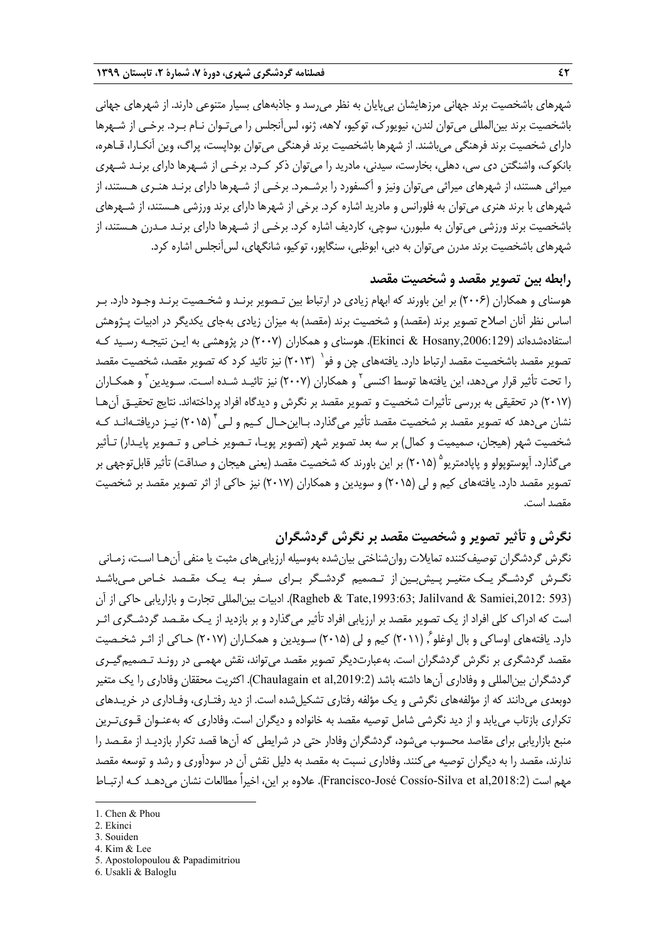شهرهاي باشخصيت برند جهاني مرزهايشان بيپايان به نظر ميرسد و جاذبههاي بسيار متنوعي دارند. از شهرهاي جهاني باشخصيت برند بينالمللي ميتوان لندن، نيويورك، توكيو، لاهه، ژنو، لسآنجلس را ميتـوان نـام بـرد. برخـي از شـهرها داراي شخصيت برند فرهنگي ميباشند. از شهرها باشخصيت برند فرهنگي ميتوان بوداپست، پراگ، وين آنكـارا، قـاهره، بانكوك، واشنگتن دي سي، دهلي، بخارست، سيدني، مادريد را ميتوان ذكر كـرد. برخـي از شـهرها داراي برنـد شـهري ميراثي هستند، از شهرهاي ميراثي ميتوان ونيز و آكسفورد را برشـمرد. برخـي از شـهرها داراي برنـد هنـري هـستند، از شهرهاي با برند هنري ميتوان به فلورانس و مادريد اشاره كرد. برخي از شهرها داراي برند ورزشي هـستند، از شـهرهاي باشخصيت برند ورزشي ميتوان به ملبورن، سوچي، كارديف اشاره كرد. برخـي از شـهرها داراي برنـد مـدرن هـستند، از شهرهاي باشخصيت برند مدرن مي توان به دبي، ابوظبي، سنگاپور، توكيو، شانگهاي، لس آنجلس اشاره كرد.

# **رابطه بين تصوير مقصد و شخصيت مقصد**

هوسناي و همكاران (2006) بر اين باورند كه ابهام زيادي در ارتباط بين تـصوير برنـد و شخـصيت برنـد وجـود دارد. بـر اساس نظر آنان اصلاح تصوير برند (مقصد) و شخصيت برند (مقصد) به ميزان زيادي بهجاي يكديگر در ادبيات پـژوهش استفادهشدهاند (,2006:129Hosany & Ekinci(. هوسناي و همكاران (2007) در پژوهشي به ايـن نتيجـه رسـيد كـه تصوير مقصد باشخصيت مقصد ارتباط دارد. يافتههاي چن و فو` (٢٠١٣) نيز تائيد كرد كه تصوير مقصد، شخصيت مقصد را تحت تأثير قرار مىدهد، اين يافتهها توسط اكنسى<sup>٢</sup> و همكاران (٢٠٠٧) نيز تائيـد شـده اسـت. سـويدين<sup>٣</sup> و همكـاران (2017) در تحقيقي به بررسي تأثيرات شخصيت و تصوير مقصد بر نگرش و ديدگاه افراد پرداختهاند. نتايج تحقيـق آنهـا نشان مے دهد كه تصوير مقصد بر شخصيت مقصد تأثير مي<sup>گ</sup>ذارد. بـااين حـال كـيم و لـي<sup>۴</sup> (٢٠١۵) نيـز دريافتـهانـد كـه شخصيت شهر (هيجان، صميميت و كمال) بر سه بعد تصوير شهر (تصوير پويـا، تـصوير خـاص و تـصوير پايـدار) تـأثير مي گذارد. آيوستوپولو و پايادمتريو ° (٢٠١۵) بر اين باورند كه شخصيت مقصد (يعني هيجان و صداقت) تأثير قابل توجهي بر تصوير مقصد دارد. يافتههاي كيم و لي (2015) و سويدين و همكاران (2017) نيز حاكي از اثر تصوير مقصد بر شخصيت مقصد است.

# **نگرش و تأثير تصوير و شخصيت مقصد بر نگرش گردشگران**

نگرش گردشگران توصيفكننده تمايلات روانشناختي بيانشده بهوسيله ارزيابيهاي مثبت يا منفي آنهـا اسـت، زمـاني نگـرش گردشـگر يـك متغيـر پـيشبـين از تـصميم گردشـگر بـراي سـفر بـه يـك مقـصد خـاص مـيباشـد (12: 593)Ragheb & Tate,1993:63; Jalilvand & Samiei,2012: بيات بين|لمللي تجارت و بازاريابي حاكي از آن است كه ادراك كلي افراد از يك تصوير مقصد بر ارزيابي افراد تأثير مي گذارد و بر بازديد از يـك مقـصد گردشـگري اثـر دارد. يافتههاي اوساكي و بال اوغلو ً, (٢٠١١) كيم و لي (٢٠١۵) سـويدين و همكـاران (٢٠١٧) حـاكي از اثـر شخـصيت مقصد گردشگري بر نگرش گردشگران است. بهعبارتديگر تصوير مقصد ميتواند، نقش مهمـي در رونـد تـصميمگيـري گردشگران بين|لمللي و وفاداري آن ها داشته باشد (Chaulagain et al,2019:2). اكثريت محققان وفاداري را يک متغير دوبعدي ميدانند كه از مؤلفههاي نگرشي و يك مؤلفه رفتاري تشكيلشده است. از ديد رفتـاري، وفـاداري در خريـدهاي تكراري بازتاب مييابد و از ديد نگرشي شامل توصيه مقصد به خانواده و ديگران است . وفاداري كه بهعنـوان قـويتـرين منبع بازاريابي براي مقاصد محسوب ميشود، گردشگران وفادار حتي در شرايطي كه آنها قصد تكرار بازديـد از مقـصد را ندارند، مقصد را به ديگران توصيه ميكنند. وفاداري نسبت به مقصد به دليل نقش آن در سودآوري و رشد و توسعه مقصد مهم است (,Francisco-José Cossío-Silva et al,2018:2). علاوه بر اين، اخيراً مطالعات نشان مي دهـد كـه ارتبـاط

**.** 

- 3. Souiden
- 4. Kim & Lee

<sup>1.</sup> Chen & Phou

<sup>2.</sup> Ekinci

<sup>5.</sup> Apostolopoulou & Papadimitriou

<sup>6.</sup> Usakli & Baloglu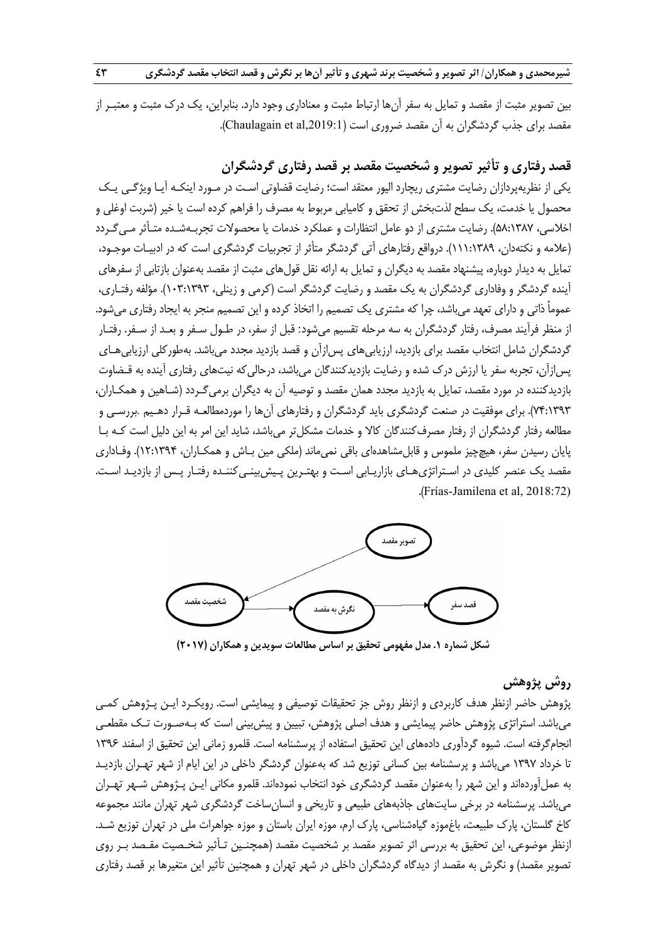**شیرمحمدی و همکاران/ اثر تصویر و شخصیت برند شهری و تأثیر آنها بر نگرش و قصد انتخاب مقصد گردشگری مصدر ۲۳** 

بين تصوير مثبت از مقصد و تمايل به سفر آن ها ارتباط مثبت و معناداري وجود دارد. بنابراين، يك درك مثبت و معتبـر از مقصد براي جذب گردشگران به آن مقصد ضروري است (Chaulagain et al,2019:1).

# **قصد رفتاري و تأثير تصوير و شخصيت مقصد بر قصد رفتاري گردشگران**

يكي از نظريهپردازان رضايت مشتري ريچارد اليور معتقد است؛ رضايت قضاوتي اسـت در مـورد اينكـه آيـا ويژگـي يـك محصول يا خدمت، يك سطح لذتبخش از تحقق و كاميابي مربوط به مصرف را فراهم كرده است يا خير (شربت اوغلي و اخلاسي، 58:1387). رضايت مشتري از دو عامل انتظارات و عملكرد خدمات يا محصولات تجربـهشـده متـأثر مـيگـردد (علامه و نكتهدان، 111:1389). درواقع رفتارهاي آتي گردشگر متأثر از تجربيات گردشگري است كه در ادبيـات موجـود، تمايل به ديدار دوباره، پيشنهاد مقصد به ديگران و تمايل به ارائه نقل قولهاي مثبت از مقصد بهعنوان بازتابي از سفرهاي آينده گردشگر و وفاداري گردشگران به يك مقصد و رضايت گردشگر است (كرمي و زينلي، 103:1393). مؤلفه رفتـاري، عموماً ذاتي و داراي تعهد ميباشد، چرا كه مشتري يك تصميم را اتخاذ كرده و اين تصميم منجر به ايجاد رفتاري ميشود. از منظر فرآيند مصرف، رفتار گردشگران به سه مرحله تقسيم ميشود: قبل از سفر، در طـول سـفر و بعـد از سـفر. رفتـار گردشگران شامل انتخاب مقصد براي بازديد، ارزيابيهاي پسازآن و قصد بازديد مجدد ميباشد. بهطوركلي ارزيابيهـاي پسازآن، تجربه سفر يا ارزش درك شده و رضايت بازديدكنندگان ميباشد، درحاليكه نيتهاي رفتاري آينده به قـضاوت بازديدكننده در مورد مقصد، تمايل به بازديد مجدد همان مقصد و توصيه آن به ديگران برميگـردد (شـاهين و همكـاران، 74:1393). براي موفقيت در صنعت گردشگري بايد گردشگران و رفتارهاي آنها را موردمطالعـه قـرار دهـيم .بررسـي و مطالعه رفتار گردشگران از رفتار مصرفكنندگان كالا و خدمات مشكلتر ميباشد، شايد اين امر به اين دليل است كـه بـا پايان رسيدن سفر، هيچچيز ملموس و قابلمشاهدهاي باقي نميماند (ملكي مين بـاش و همكـاران، 12:1394). وفـاداري مقصد يك عنصر كليدي در اسـتراتژيهـاي بازاريـابي اسـت و بهتـرين پـيش بينـيكننـده رفتـار پـس از بازديـد اسـت . .(Frías-Jamilena et al, 2018:72)



**شكل شماره .1 مدل مفهومي تحقيق بر اساس مطالعات سويدين <sup>و</sup> همكاران (2017)**

# **روش پژوهش**

پژوهش حاضر ازنظر هدف كاربردي و ازنظر روش جز تحقيقات توصيفي و پيمايشي است . رويكـرد ايـن پـژوهش كمـي ميباشد. استراتژي پژوهش حاضر پيمايشي و هدف اصلي پژوهش، تبيين و پيشبيني است كه بـهصـورت تـك مقطعـي انجامگرفته است. شيوه گردآوري دادههاي اين تحقيق استفاده از پرسشنامه است. قلمرو زماني اين تحقيق از اسفند 1396 تا خرداد 1397 ميباشد و پرسشنامه بين كساني توزيع شد كه بهعنوان گردشگر داخلي در اين ايام از شهر تهـران بازديـد به عملآوردهاند و اين شهر را بهعنوان مقصد گردشگري خود انتخاب نمودهاند. قلمرو مكاني ايـن پـژوهش شـهر تهـران ميباشد. پرسشنامه در برخي سايتهاي جاذبههاي طبيعي و تاريخي و انسانساخت گردشگري شهر تهران مانند مجموعه كاخ گلستان، پارك طبيعت، باغموزه گياهشناسي، پارك ارم، موزه ايران باستان و موزه جواهرات ملي در تهران توزيع شـد. ازنظر موضوعي، اين تحقيق به بررسي اثر تصوير مقصد بر شخصيت مقصد (همچنـين تـأثير شخـصيت مقـصد بـر روي تصوير مقصد) و نگرش به مقصد از ديدگاه گردشگران داخلي در شهر تهران و همچنين تأثير اين متغيرها بر قصد رفتاري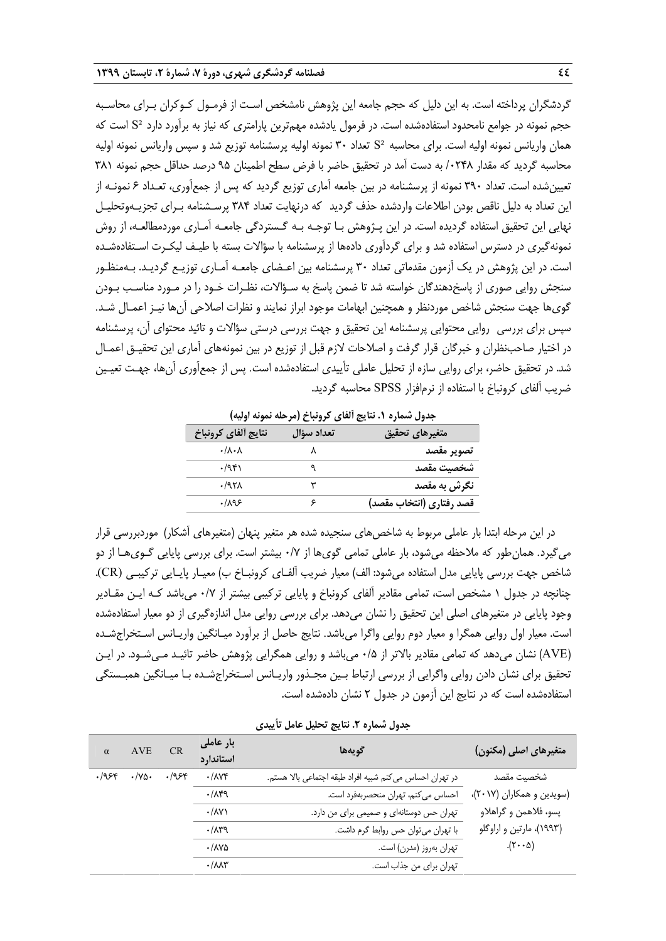گردشگران پرداخته است. به اين دليل كه حجم جامعه اين پژوهش نامشخص اسـت از فرمـول كـوكران بـراي محاسـبه حجم نمونه در جوامع نامحدود استفادهشده است. در فرمول يادشده مهمترين پارامتري كه نياز به برآورد دارد ²S است كه همان واريانس نمونه اوليه است. براي محاسبه ²S تعداد 30 نمونه اوليه پرسشنامه توزيع شد و سپس واريانس نمونه اوليه محاسبه گرديد كه مقدار /0248 به دست آمد در تحقيق حاضر با فرض سطح اطمينان 95 درصد حداقل حجم نمونه 381 تعيينشده است. تعداد 390 نمونه از پرسشنامه در بين جامعه آماري توزيع گرديد كه پس از جمع آوري، تعـداد 6 نمونـه از اين تعداد به دليل ناقص بودن اطلاعات واردشده حذف گرديد كه درنهايت تعداد 384 پرسـشنامه بـراي تجزيـهوتحليـل نهايي اين تحقيق استفاده گرديده است. در اين پـژوهش بـا توجـه بـه گـست ردگي جامعـه آمـاري موردمطالعـه، از روش نمونهگيري در دسترس استفاده شد و براي گردآوري دادهها از پرسشنامه با سؤالات بسته با طيـف ليكـرت اسـتفاده شـده است. در اين پژوهش در يك آزمون مقدماتي تعداد 30 پرسشنامه بين اعـضاي جامعـه آمـاري توزيـع گرديـد. بـهمنظـور سنجش روايي صوري از پاسخدهندگان خواسته شد تا ضمن پاسخ به سـؤالات، نظـرات خـود را در مـورد مناسـب بـودن گويها جهت سنجش شاخص موردنظر و همچنين ابهامات موجود ابراز نمايند و نظرات اصلاحي آنها نيـز اعمـال شـد. سپس براي بررسي روايي محتوايي پرسشنامه اين تحقيق و جهت بررسي درستي سؤالات و تائيد محتواي آن، پرسشنامه در اختيار صاحبنظران و خبرگان قرار گرفت و اصلاحات لازم قبل از توزيع در بين نمونههاي آماري اين تحقيـق اعمـال شد. در تحقيق حاضر، براي روايي سازه از تحليل عاملي تأييدي استفاده شده است. پس از جمعآوري آنها، جهـت تعيـين ضريب آلفاي كرونباخ با استفاده از نرمافزار SPSS محاسبه گرديد.

|                          | , , <u>,</u> , ,, , , |                             |
|--------------------------|-----------------------|-----------------------------|
| متغيرهاي تحقيق           | تعداد سؤال            | نتايج ألفاي كرونباخ         |
| تصوير مقصد               |                       | $\cdot/\lambda\cdot\lambda$ |
| شخصت مقصد                |                       | .7951                       |
| نگرش به مقصد             |                       | .797 <sub>A</sub>           |
| قصد رفتاري (انتخاب مقصد) |                       | .1195                       |

**جدول شماره .1 نتايج آلفاي كرونباخ (مرحله نمونه اوليه)** 

در اين مرحله ابتدا بار عاملي مربوط به شاخصهاي سنجيده شده هر متغير پنهان (متغيرهاي آشكار) موردبررسي قرار ميگيرد. همانطور كه ملاحظه ميشود، بار عاملي تمامي گويها از 0/7 بيشتر است. براي بررسي پايايي گـويهـا از دو شاخص جهت بررسي پايايي مدل استفاده ميشود: الف) معيار ضريب آلفـاي كرونبـاخ ب) معيـار پايـايي تركيبـي (CR(. چنانچه در جدول 1 مشخص است، تمامي مقادير آلفاي كرونباخ و پايايي تركيبي بيشتر از 0/7 ميباشد كـه ايـن مقـادير وجود پايايي در متغيرهاي اصلي اين تحقيق را نشان مي دهد. براي بررسي روايي مدل اندازهگيري از دو معيار استفادهشده است. معيار اول روايي همگرا و معيار دوم روايي واگرا مي باشد. نتايج حاصل از برآورد ميـانگين واريـانس اسـتخراج شـده (AVE (نشان ميدهد كه تمامي مقادير بالاتر از 0/5 ميباشد و روايي همگرايي پژوهش حاضر تائيـد مـي شـود. در ايـن تحقيق براي نشان دادن روايي واگرايي از بررسي ارتباط بـين مجـذور واريـانس اسـتخراج شـده بـا ميـانگين همبـستگي استفادهشده است كه در نتايج اين آزمون در جدول 2 نشان دادهشده است.

|  | جدول شماره ٢. نتايج تحليل عامل تأييدي |  |
|--|---------------------------------------|--|
|  |                                       |  |

| $\alpha$ | AVE                 | <b>CR</b> | بار عاملی<br>استاندارد        | گويەھا                                                   | متغیرهای اصلی (مکنون)     |
|----------|---------------------|-----------|-------------------------------|----------------------------------------------------------|---------------------------|
| .1954    | $\cdot$ /Ya $\cdot$ | .1954     | $\cdot$ / $\wedge$            | در تهران احساس مى كنم شبيه افراد طبقه اجتماعى بالا هستم. | شخصيت مقصد                |
|          |                     |           | .71                           | احساس می کنم، تهران منحصربهفرد است.                      | (سویدین و همکاران (۲۰۱۷)، |
|          |                     |           | $\cdot$ / $\wedge$ Y $\wedge$ | تهران حس دوستانهای و صمیمی برای من دارد.                 | پسو، فلاهمن و گراهلاو     |
|          |                     |           | .71                           | با تهران میتوان حس روابط گرم داشت.                       | (۱۹۹۳)، مارتین و اراوگلو  |
|          |                     |           | $\cdot$ / $\Lambda$ Ya        | تهران بەروز (مدرن) است.                                  | $(\tau \cdot \Delta)$     |
|          |                     |           | $\cdot/\lambda\lambda\tau$    | تهران براي من جذاب است.                                  |                           |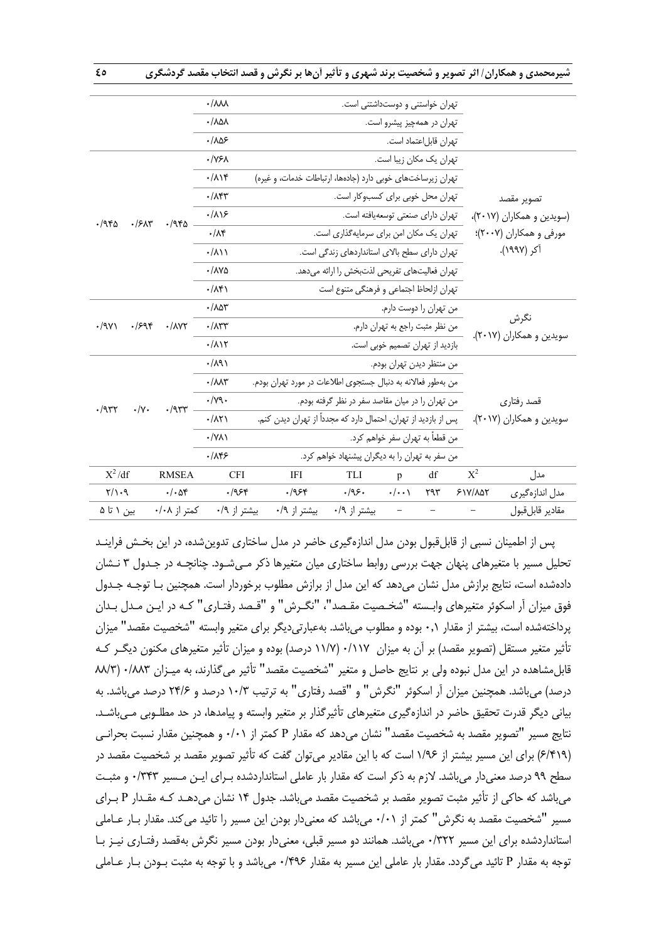|                                  |                       | $\cdot/\lambda\lambda\lambda$    | تهران خواستنی و دوستداشتنی است.<br>تهران در همهچیز پیشرو است.   |                                               |                                   |                       |                          |                           |  |
|----------------------------------|-----------------------|----------------------------------|-----------------------------------------------------------------|-----------------------------------------------|-----------------------------------|-----------------------|--------------------------|---------------------------|--|
|                                  |                       | $\cdot / \lambda \Delta \lambda$ |                                                                 |                                               |                                   |                       |                          |                           |  |
|                                  |                       | .1AB                             |                                                                 |                                               |                                   | تهران قابل عتماد است. |                          |                           |  |
|                                  |                       | $\cdot$ /Y۶ $\lambda$            |                                                                 |                                               | تهران یک مکان زیبا است.           |                       |                          |                           |  |
|                                  |                       | $\cdot/\lambda$                  | تهران زیرساختهای خوبی دارد (جادهها، ارتباطات خدمات، و غیره)     |                                               |                                   |                       |                          |                           |  |
|                                  |                       | $\cdot/\lambda$ ۴۳               |                                                                 |                                               | تهران محل خوبی برای کسب وکار است. |                       |                          | تصوير مقصد                |  |
|                                  |                       | .719                             |                                                                 | تهران داراي صنعتي توسعهيافته است.             |                                   |                       |                          | (سویدین و همکاران (۲۰۱۷)، |  |
| .7980<br>.75                     | ۳/۹۴۵                 | $\cdot/\lambda$ ۴                |                                                                 | تهران یک مکان امن برای سرمایهگذاری است.       |                                   |                       |                          | مورفی و همکاران (۲۰۰۷)؛   |  |
|                                  |                       | $\cdot/\lambda$                  |                                                                 | تهران دارای سطح بالای استانداردهای زندگی است. |                                   |                       |                          | آکر (۱۹۹۷).               |  |
|                                  |                       | $\cdot$ / $\Lambda$ Ya           |                                                                 | تهران فعالیتهای تفریحی لذتبخش را ارائه میدهد. |                                   |                       |                          |                           |  |
|                                  |                       | $\cdot/\lambda$ ۴۱               |                                                                 | تهران ازلحاظ اجتماعي و فرهنگي متنوع است       |                                   |                       |                          |                           |  |
|                                  |                       | $\cdot$ / $\wedge$ $\wedge$ ۳    |                                                                 |                                               | من تهران را دوست دارم.            |                       |                          |                           |  |
| $\cdot$ /9 $\gamma$<br>.799      | $\cdot$ / $\wedge$ YY | $\cdot/\lambda$ ۳۳               |                                                                 |                                               | من نظر مثبت راجع به تهران دارم.   |                       |                          | نگرش                      |  |
|                                  |                       | $\cdot/\lambda$                  |                                                                 |                                               | بازدید از تهران تصمیم خوبی است.   |                       |                          | سویدین و همکاران (۲۰۱۷).  |  |
|                                  |                       | $\cdot/\lambda$ 9)               |                                                                 |                                               | من منتظر ديدن تهران بودم.         |                       |                          |                           |  |
|                                  |                       | $\cdot/\lambda\lambda\tau$       | من بهطور فعالانه به دنبال جستجوى اطلاعات در مورد تهران بودم.    |                                               |                                   |                       |                          |                           |  |
|                                  |                       | $\cdot/\gamma$ 9.                | من تهران را در میان مقاصد سفر در نظر گرفته بودم.                |                                               |                                   |                       |                          | قصد رفتاري                |  |
| $\cdot/\Upsilon$<br>$\cdot$ /957 | $\cdot$ /957          | $\cdot/\lambda\Upsilon$          | پس از بازدید از تهران, احتمال دارد که مجدداً از تهران دیدن کنم. |                                               |                                   |                       | سویدین و همکاران (۲۰۱۷). |                           |  |
|                                  |                       | $\cdot$ /YA)                     | من قطعاً به تهران سفر خواهم كرد.                                |                                               |                                   |                       |                          |                           |  |
|                                  |                       | .789                             | من سفر به تهران را به دیگران پیشنهاد خواهم کرد.                 |                                               |                                   |                       |                          |                           |  |
|                                  |                       |                                  |                                                                 |                                               |                                   |                       |                          |                           |  |
| $X^2/df$                         | <b>RMSEA</b>          | <b>CFI</b>                       | IFI                                                             | TLI                                           | p                                 | df                    | $X^2$                    | مدل                       |  |
| $\gamma/\gamma$ .9               | $\cdot/\cdot$ af      | .1954                            | ۶۴۰/۰                                                           | .49.                                          | $\cdot/\cdot\cdot$                | ۲۹۳                   | $51Y/\lambda\Delta Y$    | مدل اندازهگیری            |  |
| بین ۱ تا ۵                       | کمتر از ۰/۰۸          | بیشتر از ۰/۹                     | بیشتر از ۰/۹                                                    | بیشتر از ۰/۹                                  | $\qquad \qquad -$                 |                       |                          | مقادير قابلقبول           |  |

پس از اطمينان نسبي از قابلقبول بودن مدل اندازهگيري حاضر در مدل ساختاري تدوينشده، در اين بخـش فراينـد تحليل مسير با متغيرهاي پنهان جهت بررسي روابط ساختاري ميان متغيرها ذكر مـي شـود. چنانچـه در جـدول 3 نـشان دادهشده است، نتايج برازش مدل نشان ميدهد كه اين مدل از برازش مطلوب برخوردار است. همچنين بـا توجـه جـدول فوق ميزان آر اسكوئر متغيرهاي وابـسته "شخـصيت مقـصد"، "نگـرش" و "قـصد رفتـاري" كـه در ايـن مـدل بـدان پرداختهشده است، بيشتر از مقدار ۰٫۱ بوده و مطلوب ميباشد. بهعبارتيديگر براي متغير وابسته "شخصيت مقصد" ميزان تأثير متغير مستقل (تصوير مقصد) بر آن به ميزان 0/117 (11/7 درصد) بوده و ميزان تأثير متغيرهاي مكنون ديگـر كـه قابلمشاهده در اين مدل نبوده ولي بر نتايج حاصل و متغير "شخصيت مقصد" تأثير ميگذارند، به ميـزان 0/883 (88/3 درصد) ميباشد. همچنين ميزان آر اسكوئر "نگرش" و "قصد رفتاري" به ترتيب 10/3 درصد و 24/6 درصد ميباشد. به بياني ديگر قدرت تحقيق حاضر در اندازهگيري متغيرهاي تأثيرگذار بر متغير وابسته و پيامدها، در حد مطلـوبي مـي باشـد. نتايج مسير "تصوير مقصد به شخصيت مقصد" نشان ميدهد كه مقدار P كمتر از 0/01 و همچنين مقدار نسبت بحرانـي (6/419) براي اين مسير بيشتر از 1/96 است كه با اين مقادير ميتوان گفت كه تأثير تصوير مقصد بر شخصيت مقصد در سطح 99 درصد معنيدار ميباشد. لازم به ذكر است كه مقدار بار عاملي استانداردشده بـراي ايـن مـسير 0/343 و مثبـت ميباشد كه حاكي از تأثير مثبت تصوير مقصد بر شخصيت مقصد مي باشد. جدول 14 نشان ميدهـد كـه مقـدار P بـراي مسير "شخصيت مقصد به نگرش" كمتر از 0/01 ميباشد كه معنيدار بودن اين مسير را تائيد ميكند. مقدار بـار عـاملي استانداردشده براي اين مسير 0/322 ميباشد. همانند دو مسير قبلي، معنيدار بودن مسير نگرش بهقصد رفتـاري نيـز بـا توجه به مقدار P تائيد ميگردد. مقدار بار عاملي اين مسير به مقدار 0/496 ميباشد و با توجه به مثبت بـودن بـار عـاملي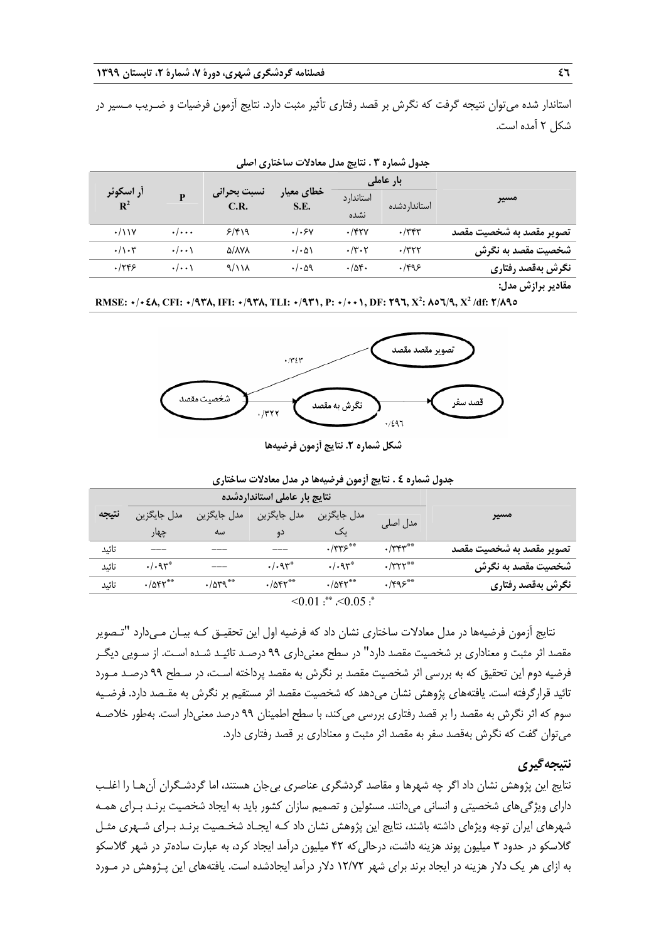استاندار شده ميتوان نتيجه گرفت كه نگرش بر قصد رفتاري تأثير مثبت دارد . نتايج آزمون فرضيات و ضـريب مـسير در شكل 2 آمده است.

| مسير                     | بار عاملی     |                    |                     |                     |                         |                             |
|--------------------------|---------------|--------------------|---------------------|---------------------|-------------------------|-----------------------------|
|                          | استاندار دشده | استاندار د<br>نشده | خطاي معيار<br>S.E.  | نسبت بحرانى<br>C.R. | P                       | أر اسكوئر<br>$\mathbf{R}^2$ |
| تصوير مقصد به شخصيت مقصد | $\cdot$ /۳۴۳  | $.$ /۴۲۷           | .1.5v               | ۶/۴۱۹               | $\cdot/\cdot\cdot\cdot$ | $\cdot$ / \ \ Y             |
| شخصیت مقصد به نگرش       | $\cdot$ /۳۲۲  | $\cdot$ /۳۰۲       | $\cdot/\cdot\Delta$ | Δ/ΛΥΛ               | $\cdot/\cdot\cdot$      | $\cdot/\cdot$ ۳             |
| نگرش بەقصد رفتارى        | .1995         | .78                | . / 09              | 9/11 <sub>A</sub>   | $\cdot/\cdot\cdot$      | ۰/۲۴۶                       |
|                          |               |                    |                     |                     |                         |                             |

**جدول شماره 3 . نتايج مدل معادلات ساختاري اصلي** 

**مقادير برازش مدل:** 

RMSE: +/+ ٤٨, CFI: +/9۳۸, IFI: +/9۳۸, TLI: +/9۳۱, P: +/++1, DF: ۲9٦,  $X^2$ : ۸٥٦/9,  $X^2$ /df: ۲/۸90



**شكل شماره .2 نتايج آزمون فرضيهها**

|                             | .                                          | -- 7 USS C-                    |                                                            |                               |              |       |  |
|-----------------------------|--------------------------------------------|--------------------------------|------------------------------------------------------------|-------------------------------|--------------|-------|--|
| مسير                        | نتايج بار عاملي استانداردشده               |                                |                                                            |                               |              |       |  |
|                             |                                            | مدل جايگزين                    | مدل جايگزين                                                | مدل جايگزين                   | مدل جايگزين  | نتيجه |  |
|                             | مدل اصلی                                   | ىك                             | دو                                                         | سه                            | چهار         |       |  |
| تصوير مقصد به شخصيت مقصد    | $\cdot$ / $\mathsf{r}\mathsf{r}\mathsf{r}$ | $\cdot$ /٣٣۶**                 |                                                            |                               |              | تائىد |  |
| شخصیت مقصد به نگرش          | $\cdot$ /٣٢٢**                             | .494                           | $. / . qr^*$                                               |                               | $. / . qr^*$ | تائىد |  |
| نگرش بهقصد رفتاری           | $\cdot$ /۴۹۶**                             | $\cdot$ / $\Delta$ $\gamma$ ** | $\cdot$ / $\Delta$ $\zeta$ $\zeta$ $\stackrel{\ast}{\sim}$ | $\cdot$ / $\Delta$ $\sqrt{9}$ | $-1055$      | تائىد |  |
| $\leq 0.01$ : $\leq 0.05$ : |                                            |                                |                                                            |                               |              |       |  |

**جدول شماره 4 . نتايج آزمون فرضيهها در مدل معادلات ساختاري**

نتايج آزمون فرضيهها در مدل معادلات ساختاري نشان داد كه فرضيه اول اين تحقيـق كـه بيـان مـي دارد "تـصوير مقصد اثر مثبت و معناداري بر شخصيت مقصد دارد" در سطح معنيداري 99 درصـد تائيـد شـده اسـت. از سـويي ديگـر فرضيه دوم اين تحقيق كه به بررسي اثر شخصيت مقصد بر نگرش به مقصد پرداخته اسـت، در سـطح 99 درصـد مـورد تائيد قرارگرفته است. يافتههاي پژوهش نشان ميدهد كه شخصيت مقصد اثر مستقيم بر نگرش به مقـصد دارد. فرضـيه سوم كه اثر نگرش به مقصد را بر قصد رفتاري بررسي مي كند، با سطح اطمينان 99 درصد معنيدار است. بهطور خلاصـه ميتوان گفت كه نگرش بهقصد سفر به مقصد اثر مثبت و معناداري بر قصد رفتاري دارد.

# **نتيجهگيري**

نتايج اين پژوهش نشان داد اگر چه شهرها و مقاصد گردشگري عناصري بيجان هستند، اما گردشـگران آنهـا را اغلـب داراي ويژگيهاي شخصيتي و انساني ميدانند. مسئولين و تصميم سازان كشور بايد به ايجاد شخصيت برنـد بـراي همـه شهرهاي ايران توجه ويژهاي داشته باشند، نتايج اين پژوهش نشان داد كـه ايجـاد شخـصيت برنـد بـراي شـهر ي مثـل گلاسكو در حدود 3 ميليون پوند هزينه داشت، درحاليكه 42 ميليون درآمد ايجاد كرد، به عبارت سادهتر در شهر گلاسكو به ازاي هر يك دلار هزينه در ايجاد برند براي شهر 12/72 دلار درآمد ايجادشده است. يافتههاي اين پـژوهش در مـورد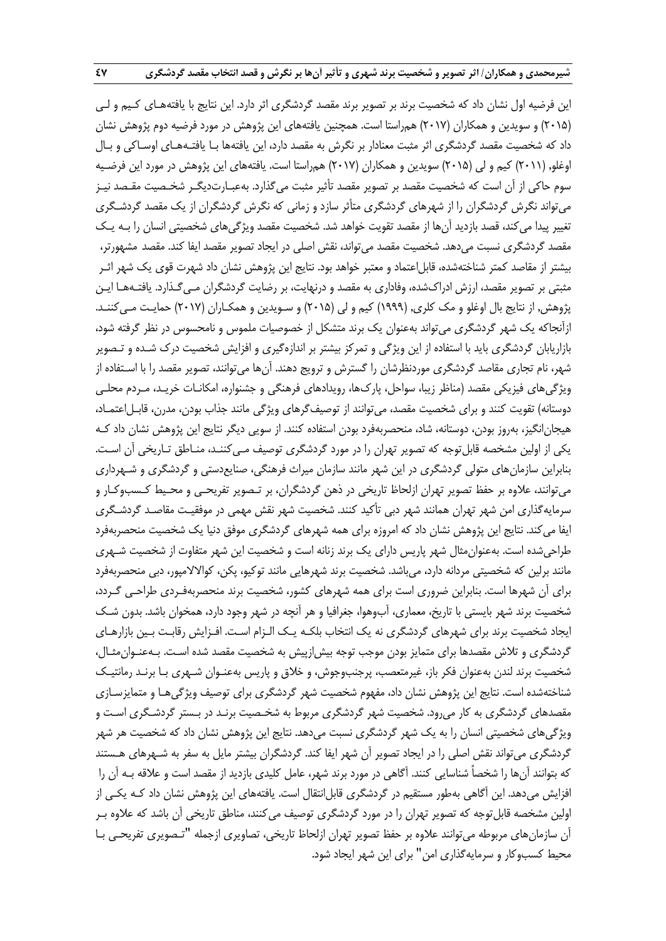اين فرضيه اول نشان داد كه شخصيت برند بر تصوير برند مقصد گردشگري اثر دارد. اين نتايج با يافتههـاي كـيم و لـي (2015) و سويدين و همكاران (2017) همراستا است. همچنين يافتههاي اين پژوهش در مورد فرضيه دوم پژوهش نشان داد كه شخصيت مقصد گردشگري اثر مثبت معنادار بر نگرش به مقصد دارد، اين يافتهها بـا يافتـههـاي اوسـاكي و بـال اوغلو, (2011) كيم و لي (2015) سويدين و همكاران (2017) همراستا است. يافتههاي اين پژوهش در مورد اين فرضـيه سوم حاكي از آن است كه شخصيت مقصد بر تصوير مقصد تأثير مثبت ميگذارد. بهعبـارتديگـر شخـصيت مقـصد نيـز ميتواند نگرش گردشگران را از شهرهاي گردشگري متأثر سازد و زماني كه نگرش گردشگران از يك مقصد گردشـگري تغيير پيدا مي كند، قصد بازديد آنها از مقصد تقويت خواهد شد. شخصيت مقصد ويژگي هاي شخصيتي انسان را بـه يـك مقصد گردشگري نسبت ميدهد. شخصيت مقصد ميتواند، نقش اصلي در ايجاد تصوير مقصد ايفا كند. مقصد مشهورتر، بيشتر از مقاصد كمتر شناختهشده، قابلاعتماد و معتبر خواهد بود. نتايج اين پژوهش نشان داد شهرت قوي يك شهر اثـر مثبتي بر تصوير مقصد، ارزش ادراكشده، وفاداري به مقصد و درنهايت، بر رضايت گردشگران مـيگـذارد. يافتـههـا ايـن پژوهش, از نتايج بال اوغلو و مك كلري, (1999) كيم و لي (2015) و سـويدين و همكـاران (2017) حمايـت مـيكننـد. ازآنجاكه يك شهر گردشگري ميتواند بهعنوان يك برند متشكل از خصوصيات ملموس و نامحسوس در نظر گرفته شود، بازاريابان گردشگري بايد با استفاده از اين ويژگي و تمركز بيشتر بر اندازهگيري و افزايش شخصيت درك شـده و تـصوير شهر، نام تجاري مقاصد گردشگري موردنظرشان را گسترش و ترويج دهند . آنها ميتوانند، تصوير مقصد را با اسـتفاده از ويژگيهاي فيزيكي مقصد (مناظر زيبا، سواحل، پاركها، رويدادهاي فرهنگي و جشنواره، امكانـات خريـد، مـردم محلـي دوستانه) تقويت كنند و براي شخصيت مقصد، مي توانند از توصيف گرهاي ويژگي مانند جذاب بودن، مدرن، قابـل|عتمـاد، هيجانانگيز، بهروز بودن، دوستانه، شاد، منحصربهفرد بودن استفاده كنند. از سويي ديگر نتايج اين پژوهش نشان داد كـه يكي از اولين مشخصه قابلتوجه كه تصوير تهران را در مورد گردشگري توصيف مـيكننـد، منـاطق تـاريخي آن اسـت. بنابراين سازمانهاي متولي گردشگري در اين شهر مانند سازمان ميراث فرهنگي، صنايعدستي و گردشگري و شـهرداري ميتوانند، علاوه بر حفظ تصوير تهران ازلحاظ تاريخي در ذهن گردشگران، بر تـصوير تفريحـي و محـيط كـسب وكـار و سرمايهگذاري امن شهر تهران همانند شهر دبي تأكيد كنند. شخصيت شهر نقش مهمي در موفقيـت مقاصـد گردشـگري ايفا ميكند. نتايج اين پژوهش نشان داد كه امروزه براي همه شهرهاي گردشگري موفق دنيا يك شخصيت منحصربهفرد طراحيشده است. بهعنوانمثال شهر پاريس داراي يك برند زنانه است و شخصيت اين شهر متفاوت از شخصيت شـهري مانند برلين كه شخصيتي مردانه دارد، ميباشد. شخصيت برند شهرهايي مانند توكيو، پكن، كوالالامپور، دبي منحصربهفرد براي آن شهرها است. بنابراين ضروري است براي همه شهرهاي كشور، شخصيت برند منحصربهفـردي طراحـي گـردد، شخصيت برند شهر بايستي با تاريخ، معماري، آبوهوا، جغرافيا و هر آنچه در شهر وجود دارد، همخوان باشد. بدون شـك ايجاد شخصيت برند براي شهرهاي گردشگري نه يك انتخاب بلكـه يـك الـزام اسـت . افـزايش رقابـت بـين بازارهـاي گردشگري و تلاش مقصدها براي متمايز بودن موجب توجه بيش ازپيش به شخصيت مقصد شده اسـت. بـهعنـوانمثـال، شخصيت برند لندن بهعنوان فكر باز، غيرمتعصب، پرجنبوجوش، و خلاق و پاريس بهعنـوان شـهري بـا برنـد رمانتيـك شناختهشده است. نتايج اين پژوهش نشان داد، مفهوم شخصيت شهر گردشگري براي توصيف ويژگي هـا و متمايزسـازي مقصدهاي گردشگري به كار ميرود. شخصيت شهر گردشگري مربوط به شخـصيت برنـد در بـستر گردشـگري اسـت و ويژگيهاي شخصيتي انسان را به يك شهر گردشگري نسبت ميدهد. نتايج اين پژوهش نشان داد كه شخصيت هر شهر گردشگري ميتواند نقش اصلي را در ايجاد تصوير آن شهر ايفا كند . گردشگران بيشتر مايل به سفر به شـهرهاي هـستند كه بتوانند آنها را شخصاً شناسايي كنند. آگاهي در مورد برند شهر، عامل كليدي بازديد از مقصد است و علاقه بـه آن را افزايش ميدهد. اين آگاهي بهطور مستقيم در گردشگري قابل|نتقال است. يافتههاي اين پژوهش نشان داد كـه يكـي از اولين مشخصه قابلتوجه كه تصوير تهران را در مورد گردشگري توصيف ميكنند، مناطق تاريخي آن باشد كه علاوه بـر آن سازمانهاي مربوطه ميتوانند علاوه بر حفظ تصوير تهران ازلحاظ تاريخي، تصاويري ازجمله "تـصويري تفريحـي بـا محيط كسبوكار و سرمايهگذاري امن" براي اين شهر ايجاد شود.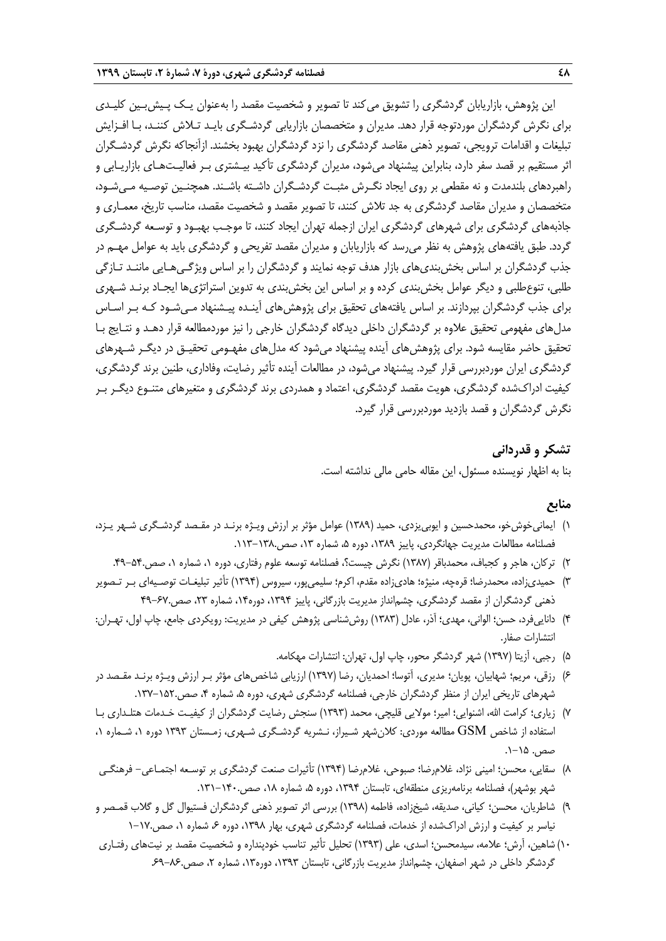اين پژوهش، بازاريابان گردشگري را تشويق مي كند تا تصوير و شخصيت مقصد را بهعنوان يـك پـيش،بـين كليـدي براي نگرش گردشگران موردتوجه قرار دهد. مديران و متخصصان بازاريابي گردشـگري بايـد تـلاش كننـد، بـا افـزايش تبليغات و اقدامات ترويجي، تصوير ذهني مقاصد گردشگري را نزد گردشگران بهبود بخشند . ازآنجاكه نگرش گردشـگران اثر مستقيم بر قصد سفر دارد، بنابراين پيشنهاد ميشود، مديران گردشگري تأكيد بيـشتري بـر فعاليـتهـاي بازاريـابي و راهبردهاي بلندمدت و نه مقطعي بر روي ايجاد نگـرش مثبـت گردشـگران داشـته باشـند . همچنـين توصـيه مـيشـود، متخصصان و مديران مقاصد گردشگري به جد تلاش كنند، تا تصوير مقصد و شخصيت مقصد، مناسب تاريخ، معمـاري و جاذبههاي گردشگري براي شهرهاي گردشگري ايران ازجمله تهران ايجاد كنند، تا موجـب بهبـود و توسـعه گردشـگري گردد. طبق يافتههاي پژوهش به نظر ميرسد كه بازاريابان و مديران مقصد تفريحي و گردشگري بايد به عوامل مهـم در جذب گردشگران بر اساس بخشبنديهاي بازار هدف توجه نمايند و گردشگران را بر اساس ويژگـيهـايي ماننـد تـازگي طلبي، تنوعطلبي و ديگر عوامل بخشبندي كرده و بر اساس اين بخشبندي به تدوين استراتژيها ايجـاد برنـد شـهري براي جذب گردشگران بپردازند. بر اساس يافتههاي تحقيق براي پژوهشهاي آينـده پيـشنهاد مـيشـود كـه بـر اسـاس مدلهاي مفهومي تحقيق علاوه بر گردشگران داخلي ديدگاه گردشگران خارجي را نيز موردمطالعه قرار دهـد و نتـايج بـا تحقيق حاضر مقايسه شود. براي پژوهش هاي آينده پيشنهاد مي شود كه مدل هاي مفهـومي تحقيـق در ديگـر شـهرهاي گردشگري ايران موردبررسي قرار گيرد. پيشنهاد ميشود، در مطالعات آينده تأثير رضايت، وفاداري، طنين برند گردشگري، كيفيت ادراكشده گردشگري، هويت مقصد گردشگري، اعتماد و همدردي برند گردشگري و متغيرهاي متنـوع ديگـر بـر نگرش گردشگران و قصد بازديد موردبررسي قرار گيرد.

# **تشكر و قدرداني**

بنا به اظهار نويسنده مسئول، اين مقاله حامي مالي نداشته است.

### **منابع**

- 1) ايمانيخوشخو، محمدحسين و ايوبييزدي، حميد (1389) عوامل مؤثر بر ارزش ويـژه برنـد در مقـصد گردشـگري شـهر يـزد، فصلنامه مطالعات مديريت جهانگردي، پاييز ١٣٨٩، دوره ۵، شماره ١٣، صص.١٣٨-١١٣.
	- 2) تركان، هاجر و كجباف، محمدباقر (1387) نگرش چيست؟، فصلنامه توسعه علوم رفتاري، دوره ،1 شماره ،1 صص.49-54.
- 3) حميديزاده، محمدرضا؛ قرهچه، منيژه؛ هاديزاده مقدم، اكرم؛ سليميپور، سيروس (1394) تأثير تبليغـات توصـيهاي بـر تـصوير ذهني گردشگران از مقصد گردشگري، چشمانداز مديريت بازرگاني، پاييز ۱۳۹۴، دوره۱۴، شماره ۲۳، صص.۶۷-۴۹
- ۴) دانايي فرد، حسن؛ الواني، مهدي؛ آذر، عادل (۱۳۸۳) روش شناسي پژوهش كيفي در مديريت: رويكردي جامع، چاپ اول، تهـران: انتشارات صفار.
	- 5) رجبي، آزيتا (1397) شهر گردشگر محور، چاپ اول، تهران: انتشارات مهكامه.
- 6) رزقي، مريم؛ شهابيان، پويان؛ مديري، آتوسا؛ احمديان، رضا (1397) ارزيابي شاخصهاي مؤثر بـر ارزش ويـژه برنـد مقـصد در شهرهاي تاريخي ايران از منظر گردشگران خارجي، فصلنامه گردشگري شهري، دوره ۵، شماره ۴، صص.۱۵۲–۱۳۷.
- 7) زياري؛ كرامت االله، اشنوايي؛ امير؛ مولايي قليچي، محمد (1393) سنجش رضايت گردشگران از كيفيـت خـدمات هتلـداري بـا استفاده از شاخص GSM مطالعه موردي: كلانشهر شـيراز، نـشريه گردشـگري شـهري، زمـستان 1393 دوره ،1 شـماره ،1 صص. ۱۵–۱.
- 8) سقايي، محسن؛ اميني نژاد، غلامرضا؛ صبوحي، غلامرضا (1394) تأثيرات صنعت گردشگري بر توسـعه اجتمـاعي- فرهنگـي شهر بوشهر)، فصلنامه برنامهريزي منطقهاي، تابستان ١٣٩٤، دوره ۵، شماره ١٨، صص.١٤٠-١٣١.
- 9) شاطريان، محسن؛ كياني، صديقه، شيخزاده، فاطمه (1398) بررسي اثر تصوير ذهني گردشگران فستيوال گل و گلاب قمـصر و نياسر بر كيفيت و ارزش ادراكشده از خدمات، فصلنامه گردشگري شهري، بهار ١٣٩٨، دوره ۶، شماره ١، صص١٧٠-١
- 10) شاهين، آرش؛ علامه، سيدمحسن؛ اسدي، علي (1393) تحليل تأثير تناسب خودپنداره و شخصيت مقصد بر نيتهاي رفتـاري گردشگر داخلي در شهر اصفهان، چشمانداز مديريت بازرگاني، تابستان ،1393 دوره،13 شماره ،2 صص.69-86.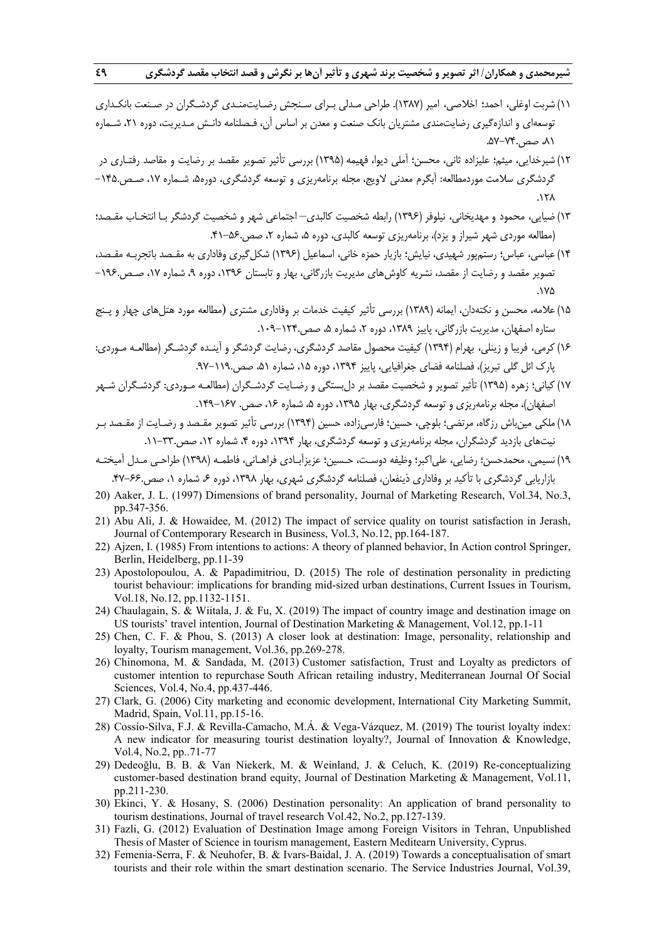- 11) شربت اوغلي، احمد؛ اخلاصي، امير (1387). طراحي مـدلي بـراي سـنجش رضـايتمنـدي گردشـگران در صـنعت بانكـداري توسعهاي و اندازهگيري رضايتمندي مشتريان بانك صنعت و معدن بر اساس آن، فـصلنامه دانـش مـديريت، دوره ،21 شـماره ،81 صص.57-74.
- 12) شيرخدايي، ميثم؛ عليزاده ثاني، محسن؛ آملي ديوا، فهيمه (1395) بررسي تأثير تصوير مقصد بر رضايت و مقاصد رفتـاري در گردشگري سلامت موردمطالعه: آبگرم معدني لاويج، مجله برنامهريزي و توسعه گردشگري، دوره۵، شـماره ۱۷، صـص۱۴۵. –  $.17<sub>A</sub>$
- 13) ضيايي، محمود و مهديخاني، نيلوفر (1396) رابطه شخصيت كالبدي– اجتماعي شهر و شخصيت گردشگر بـا انتخـاب مقـصد؛ (مطالعه موردي شهر شيراز و يزد)، برنامهريزي توسعه كالبدي، دوره ۵، شماره ۲، صص.45-۴۱.
- ١۴) عباسي، عباس؛ رستمپور شهيدي، نيايش؛ بازيار حمزه خاني، اسماعيل (١٣٩۶) شكل گيري وفاداري به مقـصد باتجربـه مقـصد، تصوير مقصد و رضايت از مقصد، نشريه كاوش هاي مديريت بازرگاني، بهار و تابستان ۱۳۹۶، دوره ۹، شماره ۱۷، صـص-۱۹۶  $.1<sub>2</sub>$
- 15)علامه، محسن و نكتهدان، ايمانه (1389) بررسي تأثير كيفيت خدمات بر وفاداري مشتري (مطالعه مورد هتلهاي چهار و پـنج ستاره اصفهان، مديريت بازرگاني، پاييز ١٣٨٩، دوره ٢، شماره ۵، صص.١٢٢-١٠٩.
- 16)كرمي، فريبا و زينلي، بهرام (1394) كيفيت محصول مقاصد گردشگري، رضايت گردشگر و آينـده گردشـگر (مطالعـه مـوردي: پارك ائل گلي تبريز)، فصلنامه فضاي جغرافيايي، پاييز ،1394 دوره ،15 شماره ،51 صص.97-119.
- 17)كياني؛ زهره (1395) تأثير تصوير و شخصيت مقصد بر دلبستگي و رضـايت گردشـگران (مطالعـه مـوردي: گردشـگران شـهر اصفهان)، مجله برنامهريزي و توسعه گردشگري، بهار ۱۳۹۵، دوره ۵، شماره ۱۶۶ صص. ۱۶۷–۱۴۹.
- 18) ملكي مينباش رزگاه، مرتضي؛ بلوچي، حسين؛ فارسيزاده، حسين (1394) بررسي تأثير تصوير مقـصد و رضـايت از مقـصد بـر نيتهاي بازديد گردشگران، مجله برنامهريزي و توسعه گردشگري، بهار ۱۳۹۴، دوره ۴، شماره ۱۲، صص ۳۳۰–۱۱.
- 19) نسيمي، محمدحسن؛ رضايي، علياكبر؛ وظيفه دوسـت، حـسين؛ عزيزآبـادي فراهـاني، فاطمـه (1398) طراحـي مـدل آميختـه بازاريابي گردشگري با تأكيد بر وفاداري ذينفعان، فصلنامه گردشگري شهري، بهار ،1398 دوره ،6 شماره ،1 صص.47-66.
- 20) Aaker, J. L. (1997) Dimensions of brand personality, Journal of Marketing Research, Vol.34, No.3, pp.347-356.
- 21) Abu Ali, J. & Howaidee, M. (2012) The impact of service quality on tourist satisfaction in Jerash, Journal of Contemporary Research in Business, Vol.3, No.12, pp.164-187.
- 22) Ajzen, I. (1985) From intentions to actions: A theory of planned behavior, In Action control Springer, Berlin, Heidelberg, pp.11-39
- 23) Apostolopoulou, A. & Papadimitriou, D. (2015) The role of destination personality in predicting tourist behaviour: implications for branding mid-sized urban destinations, Current Issues in Tourism, Vol.18, No.12, pp.1132-1151.
- 24) Chaulagain, S. & Wiitala, J. & Fu, X. (2019) The impact of country image and destination image on US tourists' travel intention, Journal of Destination Marketing & Management, Vol.12, pp.1-11
- 25) Chen, C. F. & Phou, S. (2013) A closer look at destination: Image, personality, relationship and loyalty, Tourism management, Vol.36, pp.269-278.
- 26) Chinomona, M. & Sandada, M. (2013) Customer satisfaction, Trust and Loyalty as predictors of customer intention to repurchase South African retailing industry, Mediterranean Journal Of Social Sciences, Vol.4, No.4, pp.437-446.
- 27) Clark, G. (2006) City marketing and economic development, International City Marketing Summit, Madrid, Spain, Vol.11, pp.15-16.
- 28) Cossío-Silva, F.J. & Revilla-Camacho, M.Á. & Vega-Vázquez, M. (2019) The tourist loyalty index: A new indicator for measuring tourist destination loyalty?, Journal of Innovation & Knowledge, Vol.4, No.2, pp..71-77
- 29) Dedeoğlu, B. B. & Van Niekerk, M. & Weinland, J. & Celuch, K. (2019) Re-conceptualizing customer-based destination brand equity, Journal of Destination Marketing & Management, Vol.11, pp.211-230.
- 30) Ekinci, Y. & Hosany, S. (2006) Destination personality: An application of brand personality to tourism destinations, Journal of travel research Vol.42, No.2, pp.127-139.
- 31) Fazli, G. (2012) Evaluation of Destination Image among Foreign Visitors in Tehran, Unpublished Thesis of Master of Science in tourism management, Eastern Meditearn University, Cyprus.
- 32) Femenia-Serra, F. & Neuhofer, B. & Ivars-Baidal, J. A. (2019) Towards a conceptualisation of smart tourists and their role within the smart destination scenario. The Service Industries Journal, Vol.39,